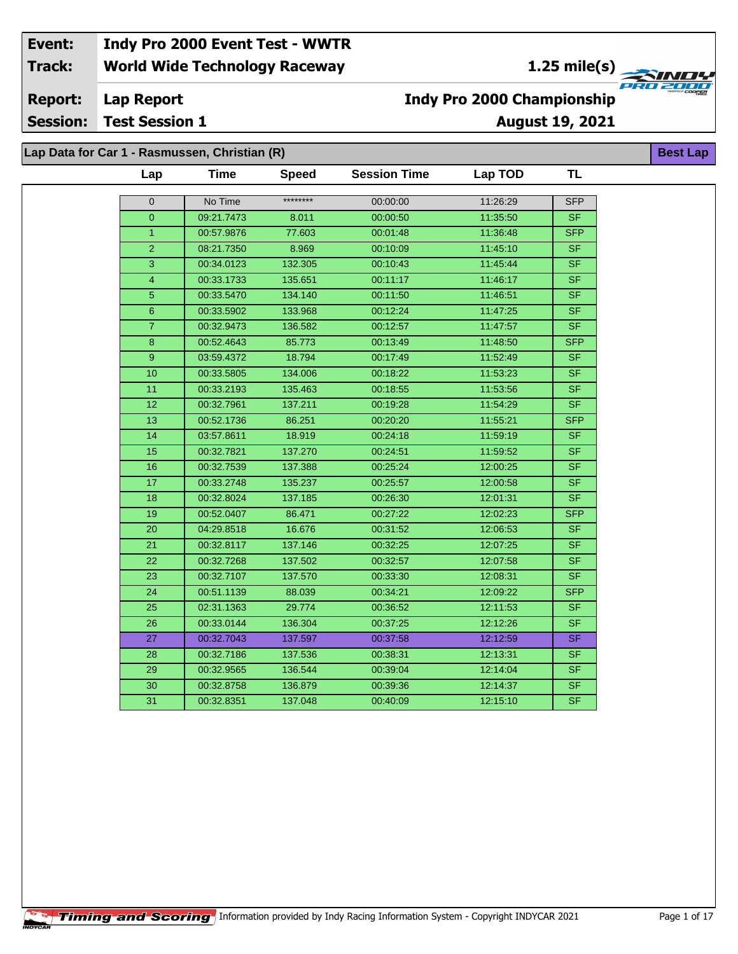**1.25 mile(s)**<br>
FRO 2004

**Best Lap**

**Lap Report Report:**

**Session: Test Session 1**

### **Indy Pro 2000 Championship**

**August 19, 2021**

**Lap Data for Car 1 - Rasmussen, Christian (R)**

| Lap             | <b>Time</b> | <b>Speed</b> | <b>Session Time</b> | Lap TOD  | <b>TL</b>                |
|-----------------|-------------|--------------|---------------------|----------|--------------------------|
| 0               | No Time     | ********     | 00:00:00            | 11:26:29 | <b>SFP</b>               |
| $\overline{0}$  | 09:21.7473  | 8.011        | 00:00:50            | 11:35:50 | <b>SF</b>                |
| $\mathbf{1}$    | 00:57.9876  | 77.603       | 00:01:48            | 11:36:48 | <b>SFP</b>               |
| $\overline{2}$  | 08:21.7350  | 8.969        | 00:10:09            | 11:45:10 | <b>SF</b>                |
| $\overline{3}$  | 00:34.0123  | 132.305      | 00:10:43            | 11:45:44 | <b>SF</b>                |
| $\overline{4}$  | 00:33.1733  | 135.651      | 00:11:17            | 11:46:17 | SF                       |
| $\overline{5}$  | 00:33.5470  | 134.140      | 00:11:50            | 11:46:51 | <b>SF</b>                |
| $6\phantom{a}$  | 00:33.5902  | 133.968      | 00:12:24            | 11:47:25 | SF                       |
| $\overline{7}$  | 00:32.9473  | 136.582      | 00:12:57            | 11:47:57 | SF                       |
| $\bf 8$         | 00:52.4643  | 85.773       | 00:13:49            | 11:48:50 | <b>SFP</b>               |
| $9\,$           | 03:59.4372  | 18.794       | 00:17:49            | 11:52:49 | <b>SF</b>                |
| 10              | 00:33.5805  | 134.006      | 00:18:22            | 11:53:23 | <b>SF</b>                |
| 11              | 00:33.2193  | 135.463      | 00:18:55            | 11:53:56 | <b>SF</b>                |
| 12              | 00:32.7961  | 137.211      | 00:19:28            | 11:54:29 | SF                       |
| 13              | 00:52.1736  | 86.251       | 00:20:20            | 11:55:21 | <b>SFP</b>               |
| 14              | 03:57.8611  | 18.919       | 00:24:18            | 11:59:19 | S <sub>F</sub>           |
| 15              | 00:32.7821  | 137.270      | 00:24:51            | 11:59:52 | <b>SF</b>                |
| 16              | 00:32.7539  | 137.388      | 00:25:24            | 12:00:25 | <b>SF</b>                |
| 17              | 00:33.2748  | 135.237      | 00:25:57            | 12:00:58 | SF                       |
| 18              | 00:32.8024  | 137.185      | 00:26:30            | 12:01:31 | SF.                      |
| 19              | 00:52.0407  | 86.471       | 00:27:22            | 12:02:23 | <b>SFP</b>               |
| 20              | 04:29.8518  | 16.676       | 00:31:52            | 12:06:53 | <b>SF</b>                |
| 21              | 00:32.8117  | 137.146      | 00:32:25            | 12:07:25 | $\overline{\mathsf{SF}}$ |
| 22              | 00:32.7268  | 137.502      | 00:32:57            | 12:07:58 | SF                       |
| 23              | 00:32.7107  | 137.570      | 00:33:30            | 12:08:31 | <b>SF</b>                |
| 24              | 00:51.1139  | 88.039       | 00:34:21            | 12:09:22 | <b>SFP</b>               |
| 25              | 02:31.1363  | 29.774       | 00:36:52            | 12:11:53 | SF.                      |
| 26              | 00:33.0144  | 136.304      | 00:37:25            | 12:12:26 | <b>SF</b>                |
| 27              | 00:32.7043  | 137.597      | 00:37:58            | 12:12:59 | <b>SF</b>                |
| 28              | 00:32.7186  | 137.536      | 00:38:31            | 12:13:31 | <b>SF</b>                |
| 29              | 00:32.9565  | 136.544      | 00:39:04            | 12:14:04 | <b>SF</b>                |
| $\overline{30}$ | 00:32.8758  | 136.879      | 00:39:36            | 12:14:37 | <b>SF</b>                |
| 31              | 00:32.8351  | 137.048      | 00:40:09            | 12:15:10 | <b>SF</b>                |
|                 |             |              |                     |          |                          |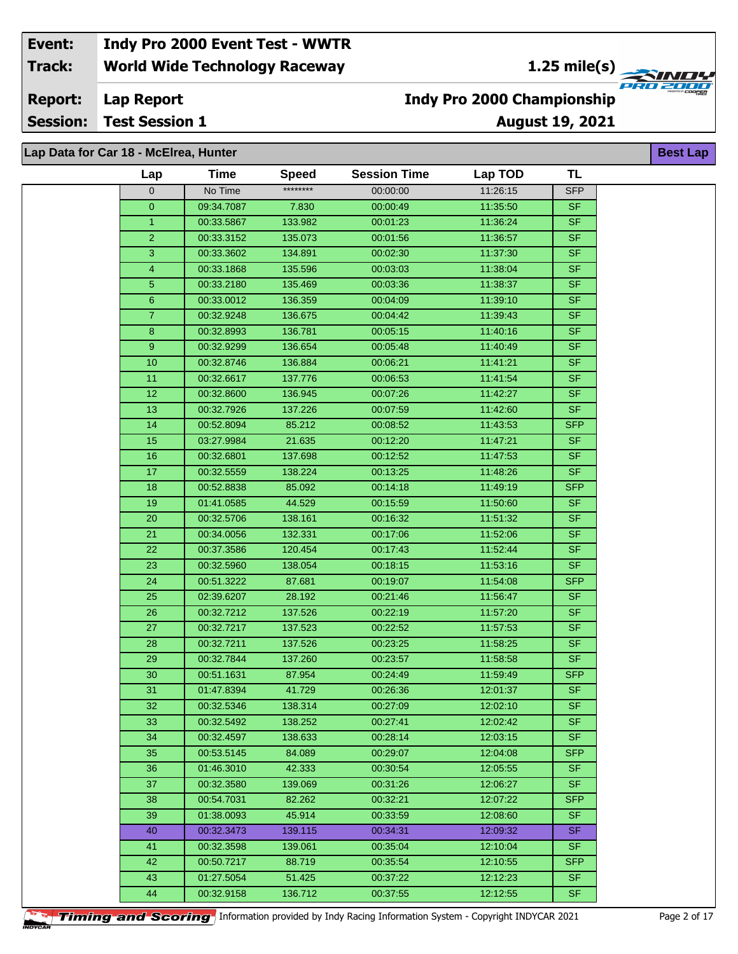**1.25 mile(s)**<br> **1.25 mile(s)** 

**Lap Report Report:**

**Session: Test Session 1**

## **Indy Pro 2000 Championship**

**August 19, 2021 Best Lap**

# **Lap Data for Car 18 - McElrea, Hunter**

| Lap            | <b>Time</b> | <b>Speed</b> | <b>Session Time</b> | Lap TOD  | TL         |
|----------------|-------------|--------------|---------------------|----------|------------|
| $\mathbf 0$    | No Time     | ********     | 00:00:00            | 11:26:15 | <b>SFP</b> |
| $\overline{0}$ | 09:34.7087  | 7.830        | 00:00:49            | 11:35:50 | <b>SF</b>  |
| $\mathbf{1}$   | 00:33.5867  | 133.982      | 00:01:23            | 11:36:24 | <b>SF</b>  |
| $\overline{2}$ | 00:33.3152  | 135.073      | 00:01:56            | 11:36:57 | <b>SF</b>  |
| $\overline{3}$ | 00:33.3602  | 134.891      | 00:02:30            | 11:37:30 | <b>SF</b>  |
| $\overline{4}$ | 00:33.1868  | 135.596      | 00:03:03            | 11:38:04 | <b>SF</b>  |
| $\overline{5}$ | 00:33.2180  | 135.469      | 00:03:36            | 11:38:37 | <b>SF</b>  |
| $\,6\,$        | 00:33.0012  | 136.359      | 00:04:09            | 11:39:10 | <b>SF</b>  |
| $\mathbf{7}$   | 00:32.9248  | 136.675      | 00:04:42            | 11:39:43 | <b>SF</b>  |
| 8              | 00:32.8993  | 136.781      | 00:05:15            | 11:40:16 | <b>SF</b>  |
| 9              | 00:32.9299  | 136.654      | 00:05:48            | 11:40:49 | <b>SF</b>  |
| 10             | 00:32.8746  | 136.884      | 00:06:21            | 11:41:21 | <b>SF</b>  |
| 11             | 00:32.6617  | 137.776      | 00:06:53            | 11:41:54 | <b>SF</b>  |
| 12             | 00:32.8600  | 136.945      | 00:07:26            | 11:42:27 | <b>SF</b>  |
| 13             | 00:32.7926  | 137.226      | 00:07:59            | 11:42:60 | <b>SF</b>  |
| 14             | 00:52.8094  | 85.212       | 00:08:52            | 11:43:53 | <b>SFP</b> |
| 15             | 03:27.9984  | 21.635       | 00:12:20            | 11:47:21 | <b>SF</b>  |
| 16             | 00:32.6801  | 137.698      | 00:12:52            | 11:47:53 | <b>SF</b>  |
| 17             | 00:32.5559  | 138.224      | 00:13:25            | 11:48:26 | <b>SF</b>  |
| 18             | 00:52.8838  | 85.092       | 00:14:18            | 11:49:19 | <b>SFP</b> |
| 19             | 01:41.0585  | 44.529       | 00:15:59            | 11:50:60 | <b>SF</b>  |
| 20             | 00:32.5706  | 138.161      | 00:16:32            | 11:51:32 | <b>SF</b>  |
| 21             | 00:34.0056  | 132.331      | 00:17:06            | 11:52:06 | <b>SF</b>  |
| 22             | 00:37.3586  | 120.454      | 00:17:43            | 11:52:44 | SF         |
| 23             | 00:32.5960  | 138.054      | 00:18:15            | 11:53:16 | <b>SF</b>  |
| 24             | 00:51.3222  | 87.681       | 00:19:07            | 11:54:08 | <b>SFP</b> |
| 25             | 02:39.6207  | 28.192       | 00:21:46            | 11:56:47 | <b>SF</b>  |
| 26             | 00:32.7212  | 137.526      | 00:22:19            | 11:57:20 | <b>SF</b>  |
| 27             | 00:32.7217  | 137.523      | 00:22:52            | 11:57:53 | <b>SF</b>  |
| 28             | 00:32.7211  | 137.526      | 00:23:25            | 11:58:25 | <b>SF</b>  |
| 29             | 00:32.7844  | 137.260      | 00:23:57            | 11:58:58 | <b>SF</b>  |
| 30             | 00:51.1631  | 87.954       | 00:24:49            | 11:59:49 | <b>SFP</b> |
| 31             | 01:47.8394  | 41.729       | 00:26:36            | 12:01:37 | <b>SF</b>  |
| 32             | 00:32.5346  | 138.314      | 00:27:09            | 12:02:10 | SF.        |
| 33             | 00:32.5492  | 138.252      | 00:27:41            | 12:02:42 | <b>SF</b>  |
| 34             | 00:32.4597  | 138.633      | 00:28:14            | 12:03:15 | <b>SF</b>  |
| 35             | 00:53.5145  | 84.089       | 00:29:07            | 12:04:08 | <b>SFP</b> |
| 36             | 01:46.3010  | 42.333       | 00:30:54            | 12:05:55 | SF.        |
| 37             | 00:32.3580  | 139.069      | 00:31:26            | 12:06:27 | SF.        |
| 38             | 00:54.7031  | 82.262       | 00:32:21            | 12:07:22 | <b>SFP</b> |
| 39             | 01:38.0093  | 45.914       | 00:33:59            | 12:08:60 | SF.        |
| 40             | 00:32.3473  | 139.115      | 00:34:31            | 12:09:32 | SF.        |
| 41             | 00:32.3598  | 139.061      | 00:35:04            | 12:10:04 | <b>SF</b>  |
| 42             | 00:50.7217  | 88.719       | 00:35:54            | 12:10:55 | <b>SFP</b> |
| 43             | 01:27.5054  | 51.425       | 00:37:22            | 12:12:23 | SF.        |
| 44             | 00:32.9158  | 136.712      | 00:37:55            | 12:12:55 | <b>SF</b>  |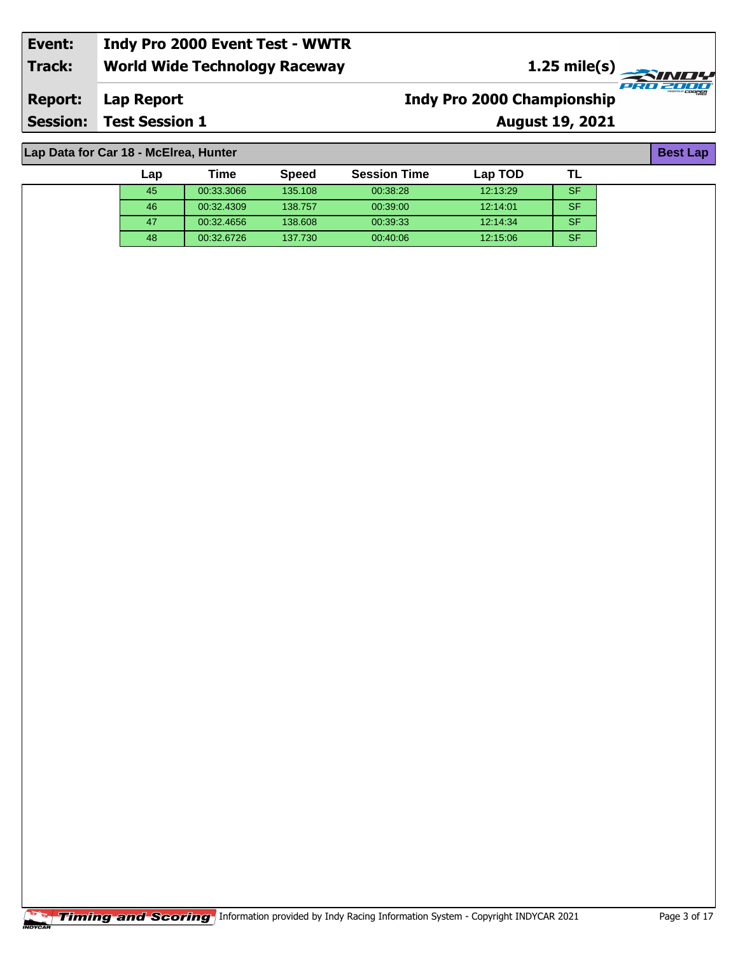| Event:                                | Indy Pro 2000 Event Test - WWTR      |                                   |                                      |  |  |  |  |  |
|---------------------------------------|--------------------------------------|-----------------------------------|--------------------------------------|--|--|--|--|--|
| Track:                                | <b>World Wide Technology Raceway</b> | $1.25 \text{ mile(s)}$            |                                      |  |  |  |  |  |
| <b>Report:</b>                        | Lap Report                           | <b>Indy Pro 2000 Championship</b> | PROZOOO<br><b>MESENTED OF COOPER</b> |  |  |  |  |  |
|                                       | <b>Session: Test Session 1</b>       | <b>August 19, 2021</b>            |                                      |  |  |  |  |  |
|                                       |                                      |                                   |                                      |  |  |  |  |  |
| Lap Data for Car 18 - McElrea, Hunter |                                      |                                   |                                      |  |  |  |  |  |

| Lap Data for Car 18 - McElrea, Hunter<br><b>Best Lap</b> |     |            |              |                     |          |           |  |  |  |
|----------------------------------------------------------|-----|------------|--------------|---------------------|----------|-----------|--|--|--|
|                                                          | Lap | Time       | <b>Speed</b> | <b>Session Time</b> | Lap TOD  |           |  |  |  |
|                                                          | 45  | 00:33.3066 | 135.108      | 00:38:28            | 12:13:29 | <b>SF</b> |  |  |  |
|                                                          | 46  | 00:32.4309 | 138.757      | 00:39:00            | 12:14:01 | <b>SF</b> |  |  |  |
|                                                          | 47  | 00:32.4656 | 138,608      | 00:39:33            | 12:14:34 | <b>SF</b> |  |  |  |
|                                                          | 48  | 00:32.6726 | 137.730      | 00:40:06            | 12:15:06 | <b>SF</b> |  |  |  |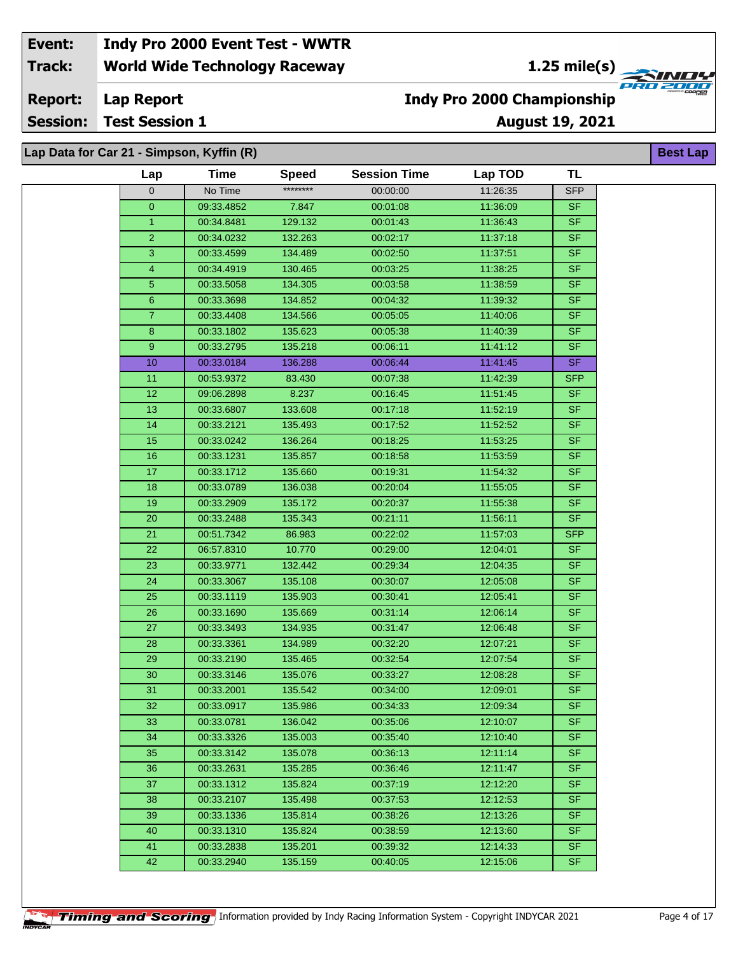**1.25 mile(s)**<br>
FRU 2000

**Lap Report Report:**

**Session: Test Session 1**

## **Indy Pro 2000 Championship**

**August 19, 2021**

**Best Lap**

### **Lap Data for Car 21 - Simpson, Kyffin (R)**

| ********<br>No Time<br>11:26:35<br>00:00:00<br><b>SFP</b><br>0<br>09:33.4852<br>11:36:09<br><b>SF</b><br>0<br>7.847<br>00:01:08<br><b>SF</b><br>$\mathbf{1}$<br>00:34.8481<br>129.132<br>00:01:43<br>11:36:43<br>$\overline{2}$<br><b>SF</b><br>00:34.0232<br>132.263<br>00:02:17<br>11:37:18<br>$\overline{\mathsf{SF}}$<br>3<br>00:33.4599<br>134.489<br>00:02:50<br>11:37:51<br><b>SF</b><br>4<br>130.465<br>11:38:25<br>00:34.4919<br>00:03:25<br><b>SF</b><br>5<br>00:33.5058<br>134.305<br>00:03:58<br>11:38:59<br>11:39:32<br><b>SF</b><br>6<br>00:33.3698<br>134.852<br>00:04:32<br>$\overline{7}$<br>00:33.4408<br>11:40:06<br><b>SF</b><br>134.566<br>00:05:05<br>11:40:39<br><b>SF</b><br>8<br>00:33.1802<br>135.623<br>00:05:38<br>11:41:12<br><b>SF</b><br>9<br>00:33.2795<br>135.218<br>00:06:11<br><b>SF</b><br>11:41:45<br>10<br>00:33.0184<br>136.288<br>00:06:44<br>11:42:39<br>00:53.9372<br>83.430<br>00:07:38<br><b>SFP</b><br>11<br>11:51:45<br>12<br>09:06.2898<br>8.237<br>00:16:45<br><b>SF</b><br>13<br>11:52:19<br><b>SF</b><br>00:33.6807<br>133.608<br>00:17:18<br>14<br>11:52:52<br><b>SF</b><br>00:33.2121<br>135.493<br>00:17:52<br>SF<br>15<br>11:53:25<br>00:33.0242<br>136.264<br>00:18:25<br><b>SF</b><br>16<br>135.857<br>00:18:58<br>11:53:59<br>00:33.1231<br><b>SF</b><br>17<br>00:33.1712<br>135.660<br>00:19:31<br>11:54:32<br>11:55:05<br><b>SF</b><br>18<br>00:33.0789<br>136.038<br>00:20:04<br>135.172<br>11:55:38<br><b>SF</b><br>19<br>00:33.2909<br>00:20:37<br><b>SF</b><br>20<br>00:33.2488<br>135.343<br>00:21:11<br>11:56:11<br><b>SFP</b><br>00:51.7342<br>11:57:03<br>21<br>86.983<br>00:22:02<br>22<br><b>SF</b><br>06:57.8310<br>10.770<br>00:29:00<br>12:04:01<br>132.442<br>12:04:35<br><b>SF</b><br>23<br>00:33.9771<br>00:29:34<br><b>SF</b><br>24<br>00:33.3067<br>135.108<br>12:05:08<br>00:30:07<br>25<br><b>SF</b><br>00:33.1119<br>135.903<br>00:30:41<br>12:05:41<br>$\overline{26}$<br><b>SF</b><br>00:33.1690<br>135.669<br>00:31:14<br>12:06:14<br><b>SF</b><br>27<br>00:33.3493<br>134.935<br>00:31:47<br>12:06:48<br><b>SF</b><br>28<br>00:33.3361<br>134.989<br>00:32:20<br>12:07:21<br><b>SF</b><br>29<br>00:33.2190<br>135.465<br>00:32:54<br>12:07:54<br><b>SF</b><br>30<br>00:33.3146<br>135.076<br>00:33:27<br>12:08:28<br><b>SF</b><br>31<br>00:33.2001<br>135.542<br>00:34:00<br>12:09:01<br>00:34:33<br>00:33.0917<br>135.986<br>12:09:34<br>SF.<br>32<br>33<br><b>SF</b><br>00:33.0781<br>00:35:06<br>12:10:07<br>136.042<br><b>SF</b><br>34<br>12:10:40<br>00:33.3326<br>135.003<br>00:35:40<br><b>SF</b><br>35<br>12:11:14<br>00:33.3142<br>135.078<br>00:36:13<br><b>SF</b><br>36<br>00:33.2631<br>135.285<br>00:36:46<br>12:11:47<br>SF.<br>37<br>00:33.1312<br>00:37:19<br>12:12:20<br>135.824<br><b>SF</b><br>00:33.2107<br>00:37:53<br>12:12:53<br>38<br>135.498<br>39<br>00:33.1336<br>12:13:26<br>SF.<br>135.814<br>00:38:26<br><b>SF</b><br>12:13:60<br>40<br>00:33.1310<br>135.824<br>00:38:59<br><b>SF</b><br>41<br>00:33.2838<br>12:14:33<br>135.201<br>00:39:32<br>42<br><b>SF</b><br>00:33.2940<br>135.159<br>00:40:05<br>12:15:06 | Lap | <b>Time</b> | <b>Speed</b> | <b>Session Time</b> | Lap TOD | TL |
|-------------------------------------------------------------------------------------------------------------------------------------------------------------------------------------------------------------------------------------------------------------------------------------------------------------------------------------------------------------------------------------------------------------------------------------------------------------------------------------------------------------------------------------------------------------------------------------------------------------------------------------------------------------------------------------------------------------------------------------------------------------------------------------------------------------------------------------------------------------------------------------------------------------------------------------------------------------------------------------------------------------------------------------------------------------------------------------------------------------------------------------------------------------------------------------------------------------------------------------------------------------------------------------------------------------------------------------------------------------------------------------------------------------------------------------------------------------------------------------------------------------------------------------------------------------------------------------------------------------------------------------------------------------------------------------------------------------------------------------------------------------------------------------------------------------------------------------------------------------------------------------------------------------------------------------------------------------------------------------------------------------------------------------------------------------------------------------------------------------------------------------------------------------------------------------------------------------------------------------------------------------------------------------------------------------------------------------------------------------------------------------------------------------------------------------------------------------------------------------------------------------------------------------------------------------------------------------------------------------------------------------------------------------------------------------------------------------------------------------------------------------------------------------------------------------------------------------------------------------------------------------------------------------------------------------------------------------------------------------------------------------------------------------------------------------------------------------------------------------------------------------|-----|-------------|--------------|---------------------|---------|----|
|                                                                                                                                                                                                                                                                                                                                                                                                                                                                                                                                                                                                                                                                                                                                                                                                                                                                                                                                                                                                                                                                                                                                                                                                                                                                                                                                                                                                                                                                                                                                                                                                                                                                                                                                                                                                                                                                                                                                                                                                                                                                                                                                                                                                                                                                                                                                                                                                                                                                                                                                                                                                                                                                                                                                                                                                                                                                                                                                                                                                                                                                                                                                     |     |             |              |                     |         |    |
|                                                                                                                                                                                                                                                                                                                                                                                                                                                                                                                                                                                                                                                                                                                                                                                                                                                                                                                                                                                                                                                                                                                                                                                                                                                                                                                                                                                                                                                                                                                                                                                                                                                                                                                                                                                                                                                                                                                                                                                                                                                                                                                                                                                                                                                                                                                                                                                                                                                                                                                                                                                                                                                                                                                                                                                                                                                                                                                                                                                                                                                                                                                                     |     |             |              |                     |         |    |
|                                                                                                                                                                                                                                                                                                                                                                                                                                                                                                                                                                                                                                                                                                                                                                                                                                                                                                                                                                                                                                                                                                                                                                                                                                                                                                                                                                                                                                                                                                                                                                                                                                                                                                                                                                                                                                                                                                                                                                                                                                                                                                                                                                                                                                                                                                                                                                                                                                                                                                                                                                                                                                                                                                                                                                                                                                                                                                                                                                                                                                                                                                                                     |     |             |              |                     |         |    |
|                                                                                                                                                                                                                                                                                                                                                                                                                                                                                                                                                                                                                                                                                                                                                                                                                                                                                                                                                                                                                                                                                                                                                                                                                                                                                                                                                                                                                                                                                                                                                                                                                                                                                                                                                                                                                                                                                                                                                                                                                                                                                                                                                                                                                                                                                                                                                                                                                                                                                                                                                                                                                                                                                                                                                                                                                                                                                                                                                                                                                                                                                                                                     |     |             |              |                     |         |    |
|                                                                                                                                                                                                                                                                                                                                                                                                                                                                                                                                                                                                                                                                                                                                                                                                                                                                                                                                                                                                                                                                                                                                                                                                                                                                                                                                                                                                                                                                                                                                                                                                                                                                                                                                                                                                                                                                                                                                                                                                                                                                                                                                                                                                                                                                                                                                                                                                                                                                                                                                                                                                                                                                                                                                                                                                                                                                                                                                                                                                                                                                                                                                     |     |             |              |                     |         |    |
|                                                                                                                                                                                                                                                                                                                                                                                                                                                                                                                                                                                                                                                                                                                                                                                                                                                                                                                                                                                                                                                                                                                                                                                                                                                                                                                                                                                                                                                                                                                                                                                                                                                                                                                                                                                                                                                                                                                                                                                                                                                                                                                                                                                                                                                                                                                                                                                                                                                                                                                                                                                                                                                                                                                                                                                                                                                                                                                                                                                                                                                                                                                                     |     |             |              |                     |         |    |
|                                                                                                                                                                                                                                                                                                                                                                                                                                                                                                                                                                                                                                                                                                                                                                                                                                                                                                                                                                                                                                                                                                                                                                                                                                                                                                                                                                                                                                                                                                                                                                                                                                                                                                                                                                                                                                                                                                                                                                                                                                                                                                                                                                                                                                                                                                                                                                                                                                                                                                                                                                                                                                                                                                                                                                                                                                                                                                                                                                                                                                                                                                                                     |     |             |              |                     |         |    |
|                                                                                                                                                                                                                                                                                                                                                                                                                                                                                                                                                                                                                                                                                                                                                                                                                                                                                                                                                                                                                                                                                                                                                                                                                                                                                                                                                                                                                                                                                                                                                                                                                                                                                                                                                                                                                                                                                                                                                                                                                                                                                                                                                                                                                                                                                                                                                                                                                                                                                                                                                                                                                                                                                                                                                                                                                                                                                                                                                                                                                                                                                                                                     |     |             |              |                     |         |    |
|                                                                                                                                                                                                                                                                                                                                                                                                                                                                                                                                                                                                                                                                                                                                                                                                                                                                                                                                                                                                                                                                                                                                                                                                                                                                                                                                                                                                                                                                                                                                                                                                                                                                                                                                                                                                                                                                                                                                                                                                                                                                                                                                                                                                                                                                                                                                                                                                                                                                                                                                                                                                                                                                                                                                                                                                                                                                                                                                                                                                                                                                                                                                     |     |             |              |                     |         |    |
|                                                                                                                                                                                                                                                                                                                                                                                                                                                                                                                                                                                                                                                                                                                                                                                                                                                                                                                                                                                                                                                                                                                                                                                                                                                                                                                                                                                                                                                                                                                                                                                                                                                                                                                                                                                                                                                                                                                                                                                                                                                                                                                                                                                                                                                                                                                                                                                                                                                                                                                                                                                                                                                                                                                                                                                                                                                                                                                                                                                                                                                                                                                                     |     |             |              |                     |         |    |
|                                                                                                                                                                                                                                                                                                                                                                                                                                                                                                                                                                                                                                                                                                                                                                                                                                                                                                                                                                                                                                                                                                                                                                                                                                                                                                                                                                                                                                                                                                                                                                                                                                                                                                                                                                                                                                                                                                                                                                                                                                                                                                                                                                                                                                                                                                                                                                                                                                                                                                                                                                                                                                                                                                                                                                                                                                                                                                                                                                                                                                                                                                                                     |     |             |              |                     |         |    |
|                                                                                                                                                                                                                                                                                                                                                                                                                                                                                                                                                                                                                                                                                                                                                                                                                                                                                                                                                                                                                                                                                                                                                                                                                                                                                                                                                                                                                                                                                                                                                                                                                                                                                                                                                                                                                                                                                                                                                                                                                                                                                                                                                                                                                                                                                                                                                                                                                                                                                                                                                                                                                                                                                                                                                                                                                                                                                                                                                                                                                                                                                                                                     |     |             |              |                     |         |    |
|                                                                                                                                                                                                                                                                                                                                                                                                                                                                                                                                                                                                                                                                                                                                                                                                                                                                                                                                                                                                                                                                                                                                                                                                                                                                                                                                                                                                                                                                                                                                                                                                                                                                                                                                                                                                                                                                                                                                                                                                                                                                                                                                                                                                                                                                                                                                                                                                                                                                                                                                                                                                                                                                                                                                                                                                                                                                                                                                                                                                                                                                                                                                     |     |             |              |                     |         |    |
|                                                                                                                                                                                                                                                                                                                                                                                                                                                                                                                                                                                                                                                                                                                                                                                                                                                                                                                                                                                                                                                                                                                                                                                                                                                                                                                                                                                                                                                                                                                                                                                                                                                                                                                                                                                                                                                                                                                                                                                                                                                                                                                                                                                                                                                                                                                                                                                                                                                                                                                                                                                                                                                                                                                                                                                                                                                                                                                                                                                                                                                                                                                                     |     |             |              |                     |         |    |
|                                                                                                                                                                                                                                                                                                                                                                                                                                                                                                                                                                                                                                                                                                                                                                                                                                                                                                                                                                                                                                                                                                                                                                                                                                                                                                                                                                                                                                                                                                                                                                                                                                                                                                                                                                                                                                                                                                                                                                                                                                                                                                                                                                                                                                                                                                                                                                                                                                                                                                                                                                                                                                                                                                                                                                                                                                                                                                                                                                                                                                                                                                                                     |     |             |              |                     |         |    |
|                                                                                                                                                                                                                                                                                                                                                                                                                                                                                                                                                                                                                                                                                                                                                                                                                                                                                                                                                                                                                                                                                                                                                                                                                                                                                                                                                                                                                                                                                                                                                                                                                                                                                                                                                                                                                                                                                                                                                                                                                                                                                                                                                                                                                                                                                                                                                                                                                                                                                                                                                                                                                                                                                                                                                                                                                                                                                                                                                                                                                                                                                                                                     |     |             |              |                     |         |    |
|                                                                                                                                                                                                                                                                                                                                                                                                                                                                                                                                                                                                                                                                                                                                                                                                                                                                                                                                                                                                                                                                                                                                                                                                                                                                                                                                                                                                                                                                                                                                                                                                                                                                                                                                                                                                                                                                                                                                                                                                                                                                                                                                                                                                                                                                                                                                                                                                                                                                                                                                                                                                                                                                                                                                                                                                                                                                                                                                                                                                                                                                                                                                     |     |             |              |                     |         |    |
|                                                                                                                                                                                                                                                                                                                                                                                                                                                                                                                                                                                                                                                                                                                                                                                                                                                                                                                                                                                                                                                                                                                                                                                                                                                                                                                                                                                                                                                                                                                                                                                                                                                                                                                                                                                                                                                                                                                                                                                                                                                                                                                                                                                                                                                                                                                                                                                                                                                                                                                                                                                                                                                                                                                                                                                                                                                                                                                                                                                                                                                                                                                                     |     |             |              |                     |         |    |
|                                                                                                                                                                                                                                                                                                                                                                                                                                                                                                                                                                                                                                                                                                                                                                                                                                                                                                                                                                                                                                                                                                                                                                                                                                                                                                                                                                                                                                                                                                                                                                                                                                                                                                                                                                                                                                                                                                                                                                                                                                                                                                                                                                                                                                                                                                                                                                                                                                                                                                                                                                                                                                                                                                                                                                                                                                                                                                                                                                                                                                                                                                                                     |     |             |              |                     |         |    |
|                                                                                                                                                                                                                                                                                                                                                                                                                                                                                                                                                                                                                                                                                                                                                                                                                                                                                                                                                                                                                                                                                                                                                                                                                                                                                                                                                                                                                                                                                                                                                                                                                                                                                                                                                                                                                                                                                                                                                                                                                                                                                                                                                                                                                                                                                                                                                                                                                                                                                                                                                                                                                                                                                                                                                                                                                                                                                                                                                                                                                                                                                                                                     |     |             |              |                     |         |    |
|                                                                                                                                                                                                                                                                                                                                                                                                                                                                                                                                                                                                                                                                                                                                                                                                                                                                                                                                                                                                                                                                                                                                                                                                                                                                                                                                                                                                                                                                                                                                                                                                                                                                                                                                                                                                                                                                                                                                                                                                                                                                                                                                                                                                                                                                                                                                                                                                                                                                                                                                                                                                                                                                                                                                                                                                                                                                                                                                                                                                                                                                                                                                     |     |             |              |                     |         |    |
|                                                                                                                                                                                                                                                                                                                                                                                                                                                                                                                                                                                                                                                                                                                                                                                                                                                                                                                                                                                                                                                                                                                                                                                                                                                                                                                                                                                                                                                                                                                                                                                                                                                                                                                                                                                                                                                                                                                                                                                                                                                                                                                                                                                                                                                                                                                                                                                                                                                                                                                                                                                                                                                                                                                                                                                                                                                                                                                                                                                                                                                                                                                                     |     |             |              |                     |         |    |
|                                                                                                                                                                                                                                                                                                                                                                                                                                                                                                                                                                                                                                                                                                                                                                                                                                                                                                                                                                                                                                                                                                                                                                                                                                                                                                                                                                                                                                                                                                                                                                                                                                                                                                                                                                                                                                                                                                                                                                                                                                                                                                                                                                                                                                                                                                                                                                                                                                                                                                                                                                                                                                                                                                                                                                                                                                                                                                                                                                                                                                                                                                                                     |     |             |              |                     |         |    |
|                                                                                                                                                                                                                                                                                                                                                                                                                                                                                                                                                                                                                                                                                                                                                                                                                                                                                                                                                                                                                                                                                                                                                                                                                                                                                                                                                                                                                                                                                                                                                                                                                                                                                                                                                                                                                                                                                                                                                                                                                                                                                                                                                                                                                                                                                                                                                                                                                                                                                                                                                                                                                                                                                                                                                                                                                                                                                                                                                                                                                                                                                                                                     |     |             |              |                     |         |    |
|                                                                                                                                                                                                                                                                                                                                                                                                                                                                                                                                                                                                                                                                                                                                                                                                                                                                                                                                                                                                                                                                                                                                                                                                                                                                                                                                                                                                                                                                                                                                                                                                                                                                                                                                                                                                                                                                                                                                                                                                                                                                                                                                                                                                                                                                                                                                                                                                                                                                                                                                                                                                                                                                                                                                                                                                                                                                                                                                                                                                                                                                                                                                     |     |             |              |                     |         |    |
|                                                                                                                                                                                                                                                                                                                                                                                                                                                                                                                                                                                                                                                                                                                                                                                                                                                                                                                                                                                                                                                                                                                                                                                                                                                                                                                                                                                                                                                                                                                                                                                                                                                                                                                                                                                                                                                                                                                                                                                                                                                                                                                                                                                                                                                                                                                                                                                                                                                                                                                                                                                                                                                                                                                                                                                                                                                                                                                                                                                                                                                                                                                                     |     |             |              |                     |         |    |
|                                                                                                                                                                                                                                                                                                                                                                                                                                                                                                                                                                                                                                                                                                                                                                                                                                                                                                                                                                                                                                                                                                                                                                                                                                                                                                                                                                                                                                                                                                                                                                                                                                                                                                                                                                                                                                                                                                                                                                                                                                                                                                                                                                                                                                                                                                                                                                                                                                                                                                                                                                                                                                                                                                                                                                                                                                                                                                                                                                                                                                                                                                                                     |     |             |              |                     |         |    |
|                                                                                                                                                                                                                                                                                                                                                                                                                                                                                                                                                                                                                                                                                                                                                                                                                                                                                                                                                                                                                                                                                                                                                                                                                                                                                                                                                                                                                                                                                                                                                                                                                                                                                                                                                                                                                                                                                                                                                                                                                                                                                                                                                                                                                                                                                                                                                                                                                                                                                                                                                                                                                                                                                                                                                                                                                                                                                                                                                                                                                                                                                                                                     |     |             |              |                     |         |    |
|                                                                                                                                                                                                                                                                                                                                                                                                                                                                                                                                                                                                                                                                                                                                                                                                                                                                                                                                                                                                                                                                                                                                                                                                                                                                                                                                                                                                                                                                                                                                                                                                                                                                                                                                                                                                                                                                                                                                                                                                                                                                                                                                                                                                                                                                                                                                                                                                                                                                                                                                                                                                                                                                                                                                                                                                                                                                                                                                                                                                                                                                                                                                     |     |             |              |                     |         |    |
|                                                                                                                                                                                                                                                                                                                                                                                                                                                                                                                                                                                                                                                                                                                                                                                                                                                                                                                                                                                                                                                                                                                                                                                                                                                                                                                                                                                                                                                                                                                                                                                                                                                                                                                                                                                                                                                                                                                                                                                                                                                                                                                                                                                                                                                                                                                                                                                                                                                                                                                                                                                                                                                                                                                                                                                                                                                                                                                                                                                                                                                                                                                                     |     |             |              |                     |         |    |
|                                                                                                                                                                                                                                                                                                                                                                                                                                                                                                                                                                                                                                                                                                                                                                                                                                                                                                                                                                                                                                                                                                                                                                                                                                                                                                                                                                                                                                                                                                                                                                                                                                                                                                                                                                                                                                                                                                                                                                                                                                                                                                                                                                                                                                                                                                                                                                                                                                                                                                                                                                                                                                                                                                                                                                                                                                                                                                                                                                                                                                                                                                                                     |     |             |              |                     |         |    |
|                                                                                                                                                                                                                                                                                                                                                                                                                                                                                                                                                                                                                                                                                                                                                                                                                                                                                                                                                                                                                                                                                                                                                                                                                                                                                                                                                                                                                                                                                                                                                                                                                                                                                                                                                                                                                                                                                                                                                                                                                                                                                                                                                                                                                                                                                                                                                                                                                                                                                                                                                                                                                                                                                                                                                                                                                                                                                                                                                                                                                                                                                                                                     |     |             |              |                     |         |    |
|                                                                                                                                                                                                                                                                                                                                                                                                                                                                                                                                                                                                                                                                                                                                                                                                                                                                                                                                                                                                                                                                                                                                                                                                                                                                                                                                                                                                                                                                                                                                                                                                                                                                                                                                                                                                                                                                                                                                                                                                                                                                                                                                                                                                                                                                                                                                                                                                                                                                                                                                                                                                                                                                                                                                                                                                                                                                                                                                                                                                                                                                                                                                     |     |             |              |                     |         |    |
|                                                                                                                                                                                                                                                                                                                                                                                                                                                                                                                                                                                                                                                                                                                                                                                                                                                                                                                                                                                                                                                                                                                                                                                                                                                                                                                                                                                                                                                                                                                                                                                                                                                                                                                                                                                                                                                                                                                                                                                                                                                                                                                                                                                                                                                                                                                                                                                                                                                                                                                                                                                                                                                                                                                                                                                                                                                                                                                                                                                                                                                                                                                                     |     |             |              |                     |         |    |
|                                                                                                                                                                                                                                                                                                                                                                                                                                                                                                                                                                                                                                                                                                                                                                                                                                                                                                                                                                                                                                                                                                                                                                                                                                                                                                                                                                                                                                                                                                                                                                                                                                                                                                                                                                                                                                                                                                                                                                                                                                                                                                                                                                                                                                                                                                                                                                                                                                                                                                                                                                                                                                                                                                                                                                                                                                                                                                                                                                                                                                                                                                                                     |     |             |              |                     |         |    |
|                                                                                                                                                                                                                                                                                                                                                                                                                                                                                                                                                                                                                                                                                                                                                                                                                                                                                                                                                                                                                                                                                                                                                                                                                                                                                                                                                                                                                                                                                                                                                                                                                                                                                                                                                                                                                                                                                                                                                                                                                                                                                                                                                                                                                                                                                                                                                                                                                                                                                                                                                                                                                                                                                                                                                                                                                                                                                                                                                                                                                                                                                                                                     |     |             |              |                     |         |    |
|                                                                                                                                                                                                                                                                                                                                                                                                                                                                                                                                                                                                                                                                                                                                                                                                                                                                                                                                                                                                                                                                                                                                                                                                                                                                                                                                                                                                                                                                                                                                                                                                                                                                                                                                                                                                                                                                                                                                                                                                                                                                                                                                                                                                                                                                                                                                                                                                                                                                                                                                                                                                                                                                                                                                                                                                                                                                                                                                                                                                                                                                                                                                     |     |             |              |                     |         |    |
|                                                                                                                                                                                                                                                                                                                                                                                                                                                                                                                                                                                                                                                                                                                                                                                                                                                                                                                                                                                                                                                                                                                                                                                                                                                                                                                                                                                                                                                                                                                                                                                                                                                                                                                                                                                                                                                                                                                                                                                                                                                                                                                                                                                                                                                                                                                                                                                                                                                                                                                                                                                                                                                                                                                                                                                                                                                                                                                                                                                                                                                                                                                                     |     |             |              |                     |         |    |
|                                                                                                                                                                                                                                                                                                                                                                                                                                                                                                                                                                                                                                                                                                                                                                                                                                                                                                                                                                                                                                                                                                                                                                                                                                                                                                                                                                                                                                                                                                                                                                                                                                                                                                                                                                                                                                                                                                                                                                                                                                                                                                                                                                                                                                                                                                                                                                                                                                                                                                                                                                                                                                                                                                                                                                                                                                                                                                                                                                                                                                                                                                                                     |     |             |              |                     |         |    |
|                                                                                                                                                                                                                                                                                                                                                                                                                                                                                                                                                                                                                                                                                                                                                                                                                                                                                                                                                                                                                                                                                                                                                                                                                                                                                                                                                                                                                                                                                                                                                                                                                                                                                                                                                                                                                                                                                                                                                                                                                                                                                                                                                                                                                                                                                                                                                                                                                                                                                                                                                                                                                                                                                                                                                                                                                                                                                                                                                                                                                                                                                                                                     |     |             |              |                     |         |    |
|                                                                                                                                                                                                                                                                                                                                                                                                                                                                                                                                                                                                                                                                                                                                                                                                                                                                                                                                                                                                                                                                                                                                                                                                                                                                                                                                                                                                                                                                                                                                                                                                                                                                                                                                                                                                                                                                                                                                                                                                                                                                                                                                                                                                                                                                                                                                                                                                                                                                                                                                                                                                                                                                                                                                                                                                                                                                                                                                                                                                                                                                                                                                     |     |             |              |                     |         |    |
|                                                                                                                                                                                                                                                                                                                                                                                                                                                                                                                                                                                                                                                                                                                                                                                                                                                                                                                                                                                                                                                                                                                                                                                                                                                                                                                                                                                                                                                                                                                                                                                                                                                                                                                                                                                                                                                                                                                                                                                                                                                                                                                                                                                                                                                                                                                                                                                                                                                                                                                                                                                                                                                                                                                                                                                                                                                                                                                                                                                                                                                                                                                                     |     |             |              |                     |         |    |
|                                                                                                                                                                                                                                                                                                                                                                                                                                                                                                                                                                                                                                                                                                                                                                                                                                                                                                                                                                                                                                                                                                                                                                                                                                                                                                                                                                                                                                                                                                                                                                                                                                                                                                                                                                                                                                                                                                                                                                                                                                                                                                                                                                                                                                                                                                                                                                                                                                                                                                                                                                                                                                                                                                                                                                                                                                                                                                                                                                                                                                                                                                                                     |     |             |              |                     |         |    |
|                                                                                                                                                                                                                                                                                                                                                                                                                                                                                                                                                                                                                                                                                                                                                                                                                                                                                                                                                                                                                                                                                                                                                                                                                                                                                                                                                                                                                                                                                                                                                                                                                                                                                                                                                                                                                                                                                                                                                                                                                                                                                                                                                                                                                                                                                                                                                                                                                                                                                                                                                                                                                                                                                                                                                                                                                                                                                                                                                                                                                                                                                                                                     |     |             |              |                     |         |    |

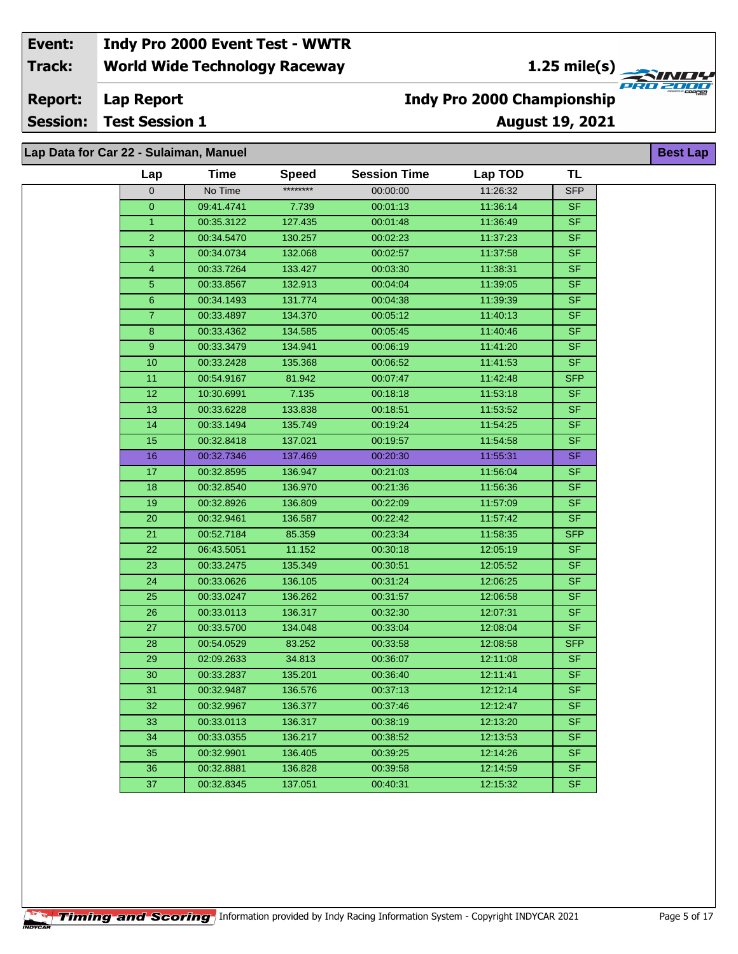**1.25 mile(s)**<br>
FRU 2004

**Lap Report Report:**

**Session: Test Session 1**

### **Indy Pro 2000 Championship**

**August 19, 2021**

**Best Lap**

### **Lap Data for Car 22 - Sulaiman, Manuel**

| Lap              | Time       | <b>Speed</b> | <b>Session Time</b> | Lap TOD  | TL         |
|------------------|------------|--------------|---------------------|----------|------------|
| $\overline{0}$   | No Time    | ********     | 00:00:00            | 11:26:32 | <b>SFP</b> |
| 0                | 09:41.4741 | 7.739        | 00:01:13            | 11:36:14 | <b>SF</b>  |
| $\mathbf{1}$     | 00:35.3122 | 127.435      | 00:01:48            | 11:36:49 | <b>SF</b>  |
| $\overline{2}$   | 00:34.5470 | 130.257      | 00:02:23            | 11:37:23 | <b>SF</b>  |
| $\overline{3}$   | 00:34.0734 | 132.068      | 00:02:57            | 11:37:58 | <b>SF</b>  |
| 4                | 00:33.7264 | 133.427      | 00:03:30            | 11:38:31 | <b>SF</b>  |
| 5                | 00:33.8567 | 132.913      | 00:04:04            | 11:39:05 | <b>SF</b>  |
| $6\phantom{a}$   | 00:34.1493 | 131.774      | 00:04:38            | 11:39:39 | <b>SF</b>  |
| $\overline{7}$   | 00:33.4897 | 134.370      | 00:05:12            | 11:40:13 | <b>SF</b>  |
| $\bf 8$          | 00:33.4362 | 134.585      | 00:05:45            | 11:40:46 | <b>SF</b>  |
| $\boldsymbol{9}$ | 00:33.3479 | 134.941      | 00:06:19            | 11:41:20 | <b>SF</b>  |
| 10               | 00:33.2428 | 135.368      | 00:06:52            | 11:41:53 | <b>SF</b>  |
| 11               | 00:54.9167 | 81.942       | 00:07:47            | 11:42:48 | <b>SFP</b> |
| 12               | 10:30.6991 | 7.135        | 00:18:18            | 11:53:18 | <b>SF</b>  |
| 13               | 00:33.6228 | 133.838      | 00:18:51            | 11:53:52 | <b>SF</b>  |
| 14               | 00:33.1494 | 135.749      | 00:19:24            | 11:54:25 | <b>SF</b>  |
| 15               | 00:32.8418 | 137.021      | 00:19:57            | 11:54:58 | <b>SF</b>  |
| 16               | 00:32.7346 | 137.469      | 00:20:30            | 11:55:31 | <b>SF</b>  |
| 17               | 00:32.8595 | 136.947      | 00:21:03            | 11:56:04 | <b>SF</b>  |
| 18               | 00:32.8540 | 136.970      | 00:21:36            | 11:56:36 | <b>SF</b>  |
| 19               | 00:32.8926 | 136.809      | 00:22:09            | 11:57:09 | <b>SF</b>  |
| 20               | 00:32.9461 | 136.587      | 00:22:42            | 11:57:42 | <b>SF</b>  |
| 21               | 00:52.7184 | 85.359       | 00:23:34            | 11:58:35 | <b>SFP</b> |
| 22               | 06:43.5051 | 11.152       | 00:30:18            | 12:05:19 | <b>SF</b>  |
| 23               | 00:33.2475 | 135.349      | 00:30:51            | 12:05:52 | <b>SF</b>  |
| 24               | 00:33.0626 | 136.105      | 00:31:24            | 12:06:25 | <b>SF</b>  |
| 25               | 00:33.0247 | 136.262      | 00:31:57            | 12:06:58 | <b>SF</b>  |
| 26               | 00:33.0113 | 136.317      | 00:32:30            | 12:07:31 | <b>SF</b>  |
| 27               | 00:33.5700 | 134.048      | 00:33:04            | 12:08:04 | <b>SF</b>  |
| 28               | 00:54.0529 | 83.252       | 00:33:58            | 12:08:58 | <b>SFP</b> |
| 29               | 02:09.2633 | 34.813       | 00:36:07            | 12:11:08 | <b>SF</b>  |
| 30               | 00:33.2837 | 135.201      | 00:36:40            | 12:11:41 | <b>SF</b>  |
| 31               | 00:32.9487 | 136.576      | 00:37:13            | 12:12:14 | <b>SF</b>  |
| 32               | 00:32.9967 | 136.377      | 00:37:46            | 12:12:47 | <b>SF</b>  |
| 33               | 00:33.0113 | 136.317      | 00:38:19            | 12:13:20 | <b>SF</b>  |
| 34               | 00:33.0355 | 136.217      | 00:38:52            | 12:13:53 | <b>SF</b>  |
| 35               | 00:32.9901 | 136.405      | 00:39:25            | 12:14:26 | <b>SF</b>  |
| 36               | 00:32.8881 | 136.828      | 00:39:58            | 12:14:59 | <b>SF</b>  |
| 37               | 00:32.8345 | 137.051      | 00:40:31            | 12:15:32 | <b>SF</b>  |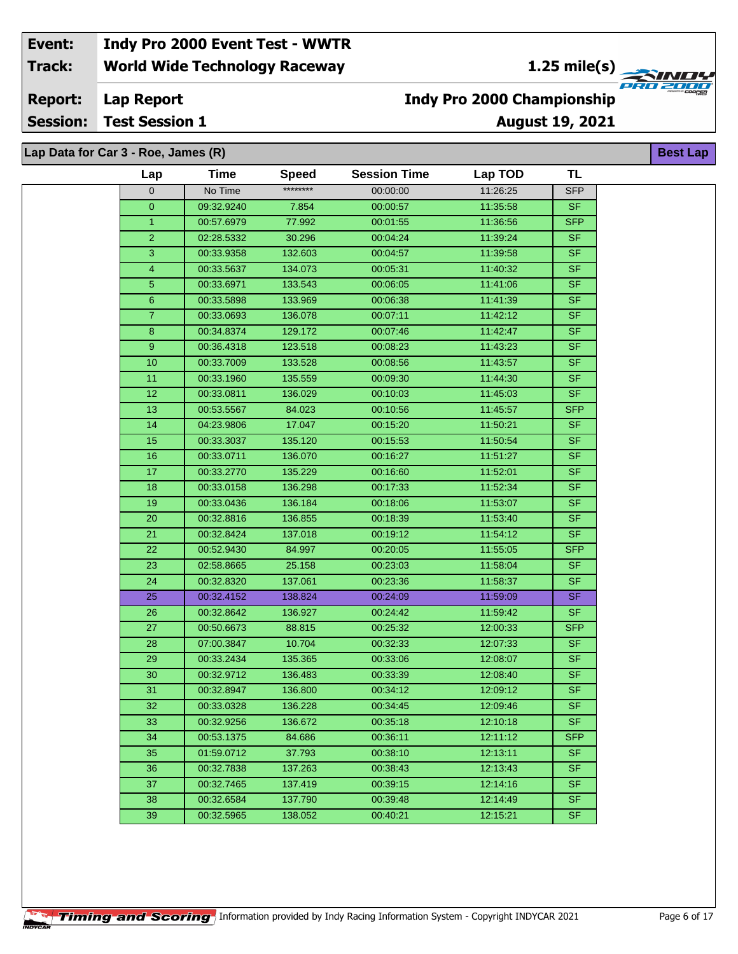**1.25 mile(s)**<br>
FRU 2004

#### **Lap Report Report:**

**Session: Test Session 1**

### **August 19, 2021 Indy Pro 2000 Championship**

**Best Lap**

**Lap Data for Car 3 - Roe, James (R)**

| ********<br>11:26:25<br>$\mathbf 0$<br>No Time<br>00:00:00<br><b>SFP</b><br>7.854<br>$\pmb{0}$<br>09:32.9240<br>00:00:57<br>11:35:58<br><b>SF</b><br>77.992<br>00:01:55<br>$\mathbf{1}$<br>00:57.6979<br>11:36:56<br><b>SFP</b><br>$\overline{2}$<br>30.296<br>00:04:24<br>11:39:24<br><b>SF</b><br>02:28.5332<br>3<br>132.603<br><b>SF</b><br>00:04:57<br>11:39:58<br>00:33.9358<br><b>SF</b><br>4<br>00:33.5637<br>134.073<br>00:05:31<br>11:40:32<br>$\overline{5}$<br>133.543<br><b>SF</b><br>00:33.6971<br>00:06:05<br>11:41:06<br>6<br>133.969<br>11:41:39<br><b>SF</b><br>00:33.5898<br>00:06:38<br>$\overline{7}$<br>136.078<br>00:07:11<br>11:42:12<br>00:33.0693<br><b>SF</b><br>$\bf8$<br>129.172<br><b>SF</b><br>00:34.8374<br>00:07:46<br>11:42:47<br><b>SF</b><br>9<br>123.518<br>00:08:23<br>00:36.4318<br>11:43:23<br>10<br>133.528<br>00:08:56<br>11:43:57<br><b>SF</b><br>00:33.7009<br>11<br>135.559<br>00:09:30<br>11:44:30<br><b>SF</b><br>00:33.1960<br>$\overline{12}$<br>136.029<br>00:10:03<br>11:45:03<br><b>SF</b><br>00:33.0811<br>13<br>00:53.5567<br>84.023<br>00:10:56<br>11:45:57<br><b>SFP</b><br>14<br>17.047<br><b>SF</b><br>00:15:20<br>11:50:21<br>04:23.9806<br>15<br>135.120<br><b>SF</b><br>00:33.3037<br>00:15:53<br>11:50:54<br><b>SF</b><br>16<br>00:33.0711<br>136.070<br>00:16:27<br>11:51:27<br>17<br><b>SF</b><br>135.229<br>00:16:60<br>00:33.2770<br>11:52:01<br>18<br>136.298<br>00:17:33<br>11:52:34<br><b>SF</b><br>00:33.0158<br>19<br>00:33.0436<br>136.184<br>00:18:06<br>11:53:07<br><b>SF</b><br>136.855<br><b>SF</b><br>20<br>00:32.8816<br>00:18:39<br>11:53:40<br>$\overline{21}$<br><b>SF</b><br>00:32.8424<br>137.018<br>00:19:12<br>11:54:12<br>22<br>84.997<br><b>SFP</b><br>00:52.9430<br>00:20:05<br>11:55:05<br>23<br>00:23:03<br><b>SF</b><br>02:58.8665<br>25.158<br>11:58:04<br>24<br>00:32.8320<br>137.061<br>00:23:36<br>11:58:37<br><b>SF</b><br>25<br>00:32.4152<br>138.824<br>00:24:09<br>11:59:09<br>SF<br>$\overline{26}$<br><b>SF</b><br>00:32.8642<br>136.927<br>00:24:42<br>11:59:42<br><b>SFP</b><br>27<br>88.815<br>00:25:32<br>12:00:33<br>00:50.6673<br>10.704<br>00:32:33<br><b>SF</b><br>28<br>07:00.3847<br>12:07:33<br>29<br><b>SF</b><br>135.365<br>00:33:06<br>00:33.2434<br>12:08:07<br>30<br>136.483<br><b>SF</b><br>00:32.9712<br>00:33:39<br>12:08:40<br>31<br>136.800<br><b>SF</b><br>00:32.8947<br>00:34:12<br>12:09:12<br>32<br>00:33.0328<br>136.228<br>00:34:45<br>12:09:46<br><b>SF</b><br><b>SF</b><br>12:10:18<br>33<br>00:32.9256<br>136.672<br>00:35:18<br><b>SFP</b><br>12:11:12<br>34<br>00:53.1375<br>84.686<br>00:36:11<br><b>SF</b><br>35<br>01:59.0712<br>37.793<br>00:38:10<br>12:13:11<br><b>SF</b><br>36<br>00:32.7838<br>137.263<br>00:38:43<br>12:13:43<br>37<br>137.419<br>12:14:16<br><b>SF</b><br>00:32.7465<br>00:39:15<br>38<br>00:32.6584<br>137.790<br>00:39:48<br>12:14:49<br><b>SF</b><br>138.052<br><b>SF</b><br>39<br>00:40:21<br>12:15:21<br>00:32.5965 | Lap | <b>Time</b> | <b>Speed</b> | <b>Session Time</b> | Lap TOD | <b>TL</b> |
|----------------------------------------------------------------------------------------------------------------------------------------------------------------------------------------------------------------------------------------------------------------------------------------------------------------------------------------------------------------------------------------------------------------------------------------------------------------------------------------------------------------------------------------------------------------------------------------------------------------------------------------------------------------------------------------------------------------------------------------------------------------------------------------------------------------------------------------------------------------------------------------------------------------------------------------------------------------------------------------------------------------------------------------------------------------------------------------------------------------------------------------------------------------------------------------------------------------------------------------------------------------------------------------------------------------------------------------------------------------------------------------------------------------------------------------------------------------------------------------------------------------------------------------------------------------------------------------------------------------------------------------------------------------------------------------------------------------------------------------------------------------------------------------------------------------------------------------------------------------------------------------------------------------------------------------------------------------------------------------------------------------------------------------------------------------------------------------------------------------------------------------------------------------------------------------------------------------------------------------------------------------------------------------------------------------------------------------------------------------------------------------------------------------------------------------------------------------------------------------------------------------------------------------------------------------------------------------------------------------------------------------------------------------------------------------------------------------------------------------------------------------------------------------------------------------------------------------------------------------------------------------------------------------------------------------------------------------------------------------|-----|-------------|--------------|---------------------|---------|-----------|
|                                                                                                                                                                                                                                                                                                                                                                                                                                                                                                                                                                                                                                                                                                                                                                                                                                                                                                                                                                                                                                                                                                                                                                                                                                                                                                                                                                                                                                                                                                                                                                                                                                                                                                                                                                                                                                                                                                                                                                                                                                                                                                                                                                                                                                                                                                                                                                                                                                                                                                                                                                                                                                                                                                                                                                                                                                                                                                                                                                                        |     |             |              |                     |         |           |
|                                                                                                                                                                                                                                                                                                                                                                                                                                                                                                                                                                                                                                                                                                                                                                                                                                                                                                                                                                                                                                                                                                                                                                                                                                                                                                                                                                                                                                                                                                                                                                                                                                                                                                                                                                                                                                                                                                                                                                                                                                                                                                                                                                                                                                                                                                                                                                                                                                                                                                                                                                                                                                                                                                                                                                                                                                                                                                                                                                                        |     |             |              |                     |         |           |
|                                                                                                                                                                                                                                                                                                                                                                                                                                                                                                                                                                                                                                                                                                                                                                                                                                                                                                                                                                                                                                                                                                                                                                                                                                                                                                                                                                                                                                                                                                                                                                                                                                                                                                                                                                                                                                                                                                                                                                                                                                                                                                                                                                                                                                                                                                                                                                                                                                                                                                                                                                                                                                                                                                                                                                                                                                                                                                                                                                                        |     |             |              |                     |         |           |
|                                                                                                                                                                                                                                                                                                                                                                                                                                                                                                                                                                                                                                                                                                                                                                                                                                                                                                                                                                                                                                                                                                                                                                                                                                                                                                                                                                                                                                                                                                                                                                                                                                                                                                                                                                                                                                                                                                                                                                                                                                                                                                                                                                                                                                                                                                                                                                                                                                                                                                                                                                                                                                                                                                                                                                                                                                                                                                                                                                                        |     |             |              |                     |         |           |
|                                                                                                                                                                                                                                                                                                                                                                                                                                                                                                                                                                                                                                                                                                                                                                                                                                                                                                                                                                                                                                                                                                                                                                                                                                                                                                                                                                                                                                                                                                                                                                                                                                                                                                                                                                                                                                                                                                                                                                                                                                                                                                                                                                                                                                                                                                                                                                                                                                                                                                                                                                                                                                                                                                                                                                                                                                                                                                                                                                                        |     |             |              |                     |         |           |
|                                                                                                                                                                                                                                                                                                                                                                                                                                                                                                                                                                                                                                                                                                                                                                                                                                                                                                                                                                                                                                                                                                                                                                                                                                                                                                                                                                                                                                                                                                                                                                                                                                                                                                                                                                                                                                                                                                                                                                                                                                                                                                                                                                                                                                                                                                                                                                                                                                                                                                                                                                                                                                                                                                                                                                                                                                                                                                                                                                                        |     |             |              |                     |         |           |
|                                                                                                                                                                                                                                                                                                                                                                                                                                                                                                                                                                                                                                                                                                                                                                                                                                                                                                                                                                                                                                                                                                                                                                                                                                                                                                                                                                                                                                                                                                                                                                                                                                                                                                                                                                                                                                                                                                                                                                                                                                                                                                                                                                                                                                                                                                                                                                                                                                                                                                                                                                                                                                                                                                                                                                                                                                                                                                                                                                                        |     |             |              |                     |         |           |
|                                                                                                                                                                                                                                                                                                                                                                                                                                                                                                                                                                                                                                                                                                                                                                                                                                                                                                                                                                                                                                                                                                                                                                                                                                                                                                                                                                                                                                                                                                                                                                                                                                                                                                                                                                                                                                                                                                                                                                                                                                                                                                                                                                                                                                                                                                                                                                                                                                                                                                                                                                                                                                                                                                                                                                                                                                                                                                                                                                                        |     |             |              |                     |         |           |
|                                                                                                                                                                                                                                                                                                                                                                                                                                                                                                                                                                                                                                                                                                                                                                                                                                                                                                                                                                                                                                                                                                                                                                                                                                                                                                                                                                                                                                                                                                                                                                                                                                                                                                                                                                                                                                                                                                                                                                                                                                                                                                                                                                                                                                                                                                                                                                                                                                                                                                                                                                                                                                                                                                                                                                                                                                                                                                                                                                                        |     |             |              |                     |         |           |
|                                                                                                                                                                                                                                                                                                                                                                                                                                                                                                                                                                                                                                                                                                                                                                                                                                                                                                                                                                                                                                                                                                                                                                                                                                                                                                                                                                                                                                                                                                                                                                                                                                                                                                                                                                                                                                                                                                                                                                                                                                                                                                                                                                                                                                                                                                                                                                                                                                                                                                                                                                                                                                                                                                                                                                                                                                                                                                                                                                                        |     |             |              |                     |         |           |
|                                                                                                                                                                                                                                                                                                                                                                                                                                                                                                                                                                                                                                                                                                                                                                                                                                                                                                                                                                                                                                                                                                                                                                                                                                                                                                                                                                                                                                                                                                                                                                                                                                                                                                                                                                                                                                                                                                                                                                                                                                                                                                                                                                                                                                                                                                                                                                                                                                                                                                                                                                                                                                                                                                                                                                                                                                                                                                                                                                                        |     |             |              |                     |         |           |
|                                                                                                                                                                                                                                                                                                                                                                                                                                                                                                                                                                                                                                                                                                                                                                                                                                                                                                                                                                                                                                                                                                                                                                                                                                                                                                                                                                                                                                                                                                                                                                                                                                                                                                                                                                                                                                                                                                                                                                                                                                                                                                                                                                                                                                                                                                                                                                                                                                                                                                                                                                                                                                                                                                                                                                                                                                                                                                                                                                                        |     |             |              |                     |         |           |
|                                                                                                                                                                                                                                                                                                                                                                                                                                                                                                                                                                                                                                                                                                                                                                                                                                                                                                                                                                                                                                                                                                                                                                                                                                                                                                                                                                                                                                                                                                                                                                                                                                                                                                                                                                                                                                                                                                                                                                                                                                                                                                                                                                                                                                                                                                                                                                                                                                                                                                                                                                                                                                                                                                                                                                                                                                                                                                                                                                                        |     |             |              |                     |         |           |
|                                                                                                                                                                                                                                                                                                                                                                                                                                                                                                                                                                                                                                                                                                                                                                                                                                                                                                                                                                                                                                                                                                                                                                                                                                                                                                                                                                                                                                                                                                                                                                                                                                                                                                                                                                                                                                                                                                                                                                                                                                                                                                                                                                                                                                                                                                                                                                                                                                                                                                                                                                                                                                                                                                                                                                                                                                                                                                                                                                                        |     |             |              |                     |         |           |
|                                                                                                                                                                                                                                                                                                                                                                                                                                                                                                                                                                                                                                                                                                                                                                                                                                                                                                                                                                                                                                                                                                                                                                                                                                                                                                                                                                                                                                                                                                                                                                                                                                                                                                                                                                                                                                                                                                                                                                                                                                                                                                                                                                                                                                                                                                                                                                                                                                                                                                                                                                                                                                                                                                                                                                                                                                                                                                                                                                                        |     |             |              |                     |         |           |
|                                                                                                                                                                                                                                                                                                                                                                                                                                                                                                                                                                                                                                                                                                                                                                                                                                                                                                                                                                                                                                                                                                                                                                                                                                                                                                                                                                                                                                                                                                                                                                                                                                                                                                                                                                                                                                                                                                                                                                                                                                                                                                                                                                                                                                                                                                                                                                                                                                                                                                                                                                                                                                                                                                                                                                                                                                                                                                                                                                                        |     |             |              |                     |         |           |
|                                                                                                                                                                                                                                                                                                                                                                                                                                                                                                                                                                                                                                                                                                                                                                                                                                                                                                                                                                                                                                                                                                                                                                                                                                                                                                                                                                                                                                                                                                                                                                                                                                                                                                                                                                                                                                                                                                                                                                                                                                                                                                                                                                                                                                                                                                                                                                                                                                                                                                                                                                                                                                                                                                                                                                                                                                                                                                                                                                                        |     |             |              |                     |         |           |
|                                                                                                                                                                                                                                                                                                                                                                                                                                                                                                                                                                                                                                                                                                                                                                                                                                                                                                                                                                                                                                                                                                                                                                                                                                                                                                                                                                                                                                                                                                                                                                                                                                                                                                                                                                                                                                                                                                                                                                                                                                                                                                                                                                                                                                                                                                                                                                                                                                                                                                                                                                                                                                                                                                                                                                                                                                                                                                                                                                                        |     |             |              |                     |         |           |
|                                                                                                                                                                                                                                                                                                                                                                                                                                                                                                                                                                                                                                                                                                                                                                                                                                                                                                                                                                                                                                                                                                                                                                                                                                                                                                                                                                                                                                                                                                                                                                                                                                                                                                                                                                                                                                                                                                                                                                                                                                                                                                                                                                                                                                                                                                                                                                                                                                                                                                                                                                                                                                                                                                                                                                                                                                                                                                                                                                                        |     |             |              |                     |         |           |
|                                                                                                                                                                                                                                                                                                                                                                                                                                                                                                                                                                                                                                                                                                                                                                                                                                                                                                                                                                                                                                                                                                                                                                                                                                                                                                                                                                                                                                                                                                                                                                                                                                                                                                                                                                                                                                                                                                                                                                                                                                                                                                                                                                                                                                                                                                                                                                                                                                                                                                                                                                                                                                                                                                                                                                                                                                                                                                                                                                                        |     |             |              |                     |         |           |
|                                                                                                                                                                                                                                                                                                                                                                                                                                                                                                                                                                                                                                                                                                                                                                                                                                                                                                                                                                                                                                                                                                                                                                                                                                                                                                                                                                                                                                                                                                                                                                                                                                                                                                                                                                                                                                                                                                                                                                                                                                                                                                                                                                                                                                                                                                                                                                                                                                                                                                                                                                                                                                                                                                                                                                                                                                                                                                                                                                                        |     |             |              |                     |         |           |
|                                                                                                                                                                                                                                                                                                                                                                                                                                                                                                                                                                                                                                                                                                                                                                                                                                                                                                                                                                                                                                                                                                                                                                                                                                                                                                                                                                                                                                                                                                                                                                                                                                                                                                                                                                                                                                                                                                                                                                                                                                                                                                                                                                                                                                                                                                                                                                                                                                                                                                                                                                                                                                                                                                                                                                                                                                                                                                                                                                                        |     |             |              |                     |         |           |
|                                                                                                                                                                                                                                                                                                                                                                                                                                                                                                                                                                                                                                                                                                                                                                                                                                                                                                                                                                                                                                                                                                                                                                                                                                                                                                                                                                                                                                                                                                                                                                                                                                                                                                                                                                                                                                                                                                                                                                                                                                                                                                                                                                                                                                                                                                                                                                                                                                                                                                                                                                                                                                                                                                                                                                                                                                                                                                                                                                                        |     |             |              |                     |         |           |
|                                                                                                                                                                                                                                                                                                                                                                                                                                                                                                                                                                                                                                                                                                                                                                                                                                                                                                                                                                                                                                                                                                                                                                                                                                                                                                                                                                                                                                                                                                                                                                                                                                                                                                                                                                                                                                                                                                                                                                                                                                                                                                                                                                                                                                                                                                                                                                                                                                                                                                                                                                                                                                                                                                                                                                                                                                                                                                                                                                                        |     |             |              |                     |         |           |
|                                                                                                                                                                                                                                                                                                                                                                                                                                                                                                                                                                                                                                                                                                                                                                                                                                                                                                                                                                                                                                                                                                                                                                                                                                                                                                                                                                                                                                                                                                                                                                                                                                                                                                                                                                                                                                                                                                                                                                                                                                                                                                                                                                                                                                                                                                                                                                                                                                                                                                                                                                                                                                                                                                                                                                                                                                                                                                                                                                                        |     |             |              |                     |         |           |
|                                                                                                                                                                                                                                                                                                                                                                                                                                                                                                                                                                                                                                                                                                                                                                                                                                                                                                                                                                                                                                                                                                                                                                                                                                                                                                                                                                                                                                                                                                                                                                                                                                                                                                                                                                                                                                                                                                                                                                                                                                                                                                                                                                                                                                                                                                                                                                                                                                                                                                                                                                                                                                                                                                                                                                                                                                                                                                                                                                                        |     |             |              |                     |         |           |
|                                                                                                                                                                                                                                                                                                                                                                                                                                                                                                                                                                                                                                                                                                                                                                                                                                                                                                                                                                                                                                                                                                                                                                                                                                                                                                                                                                                                                                                                                                                                                                                                                                                                                                                                                                                                                                                                                                                                                                                                                                                                                                                                                                                                                                                                                                                                                                                                                                                                                                                                                                                                                                                                                                                                                                                                                                                                                                                                                                                        |     |             |              |                     |         |           |
|                                                                                                                                                                                                                                                                                                                                                                                                                                                                                                                                                                                                                                                                                                                                                                                                                                                                                                                                                                                                                                                                                                                                                                                                                                                                                                                                                                                                                                                                                                                                                                                                                                                                                                                                                                                                                                                                                                                                                                                                                                                                                                                                                                                                                                                                                                                                                                                                                                                                                                                                                                                                                                                                                                                                                                                                                                                                                                                                                                                        |     |             |              |                     |         |           |
|                                                                                                                                                                                                                                                                                                                                                                                                                                                                                                                                                                                                                                                                                                                                                                                                                                                                                                                                                                                                                                                                                                                                                                                                                                                                                                                                                                                                                                                                                                                                                                                                                                                                                                                                                                                                                                                                                                                                                                                                                                                                                                                                                                                                                                                                                                                                                                                                                                                                                                                                                                                                                                                                                                                                                                                                                                                                                                                                                                                        |     |             |              |                     |         |           |
|                                                                                                                                                                                                                                                                                                                                                                                                                                                                                                                                                                                                                                                                                                                                                                                                                                                                                                                                                                                                                                                                                                                                                                                                                                                                                                                                                                                                                                                                                                                                                                                                                                                                                                                                                                                                                                                                                                                                                                                                                                                                                                                                                                                                                                                                                                                                                                                                                                                                                                                                                                                                                                                                                                                                                                                                                                                                                                                                                                                        |     |             |              |                     |         |           |
|                                                                                                                                                                                                                                                                                                                                                                                                                                                                                                                                                                                                                                                                                                                                                                                                                                                                                                                                                                                                                                                                                                                                                                                                                                                                                                                                                                                                                                                                                                                                                                                                                                                                                                                                                                                                                                                                                                                                                                                                                                                                                                                                                                                                                                                                                                                                                                                                                                                                                                                                                                                                                                                                                                                                                                                                                                                                                                                                                                                        |     |             |              |                     |         |           |
|                                                                                                                                                                                                                                                                                                                                                                                                                                                                                                                                                                                                                                                                                                                                                                                                                                                                                                                                                                                                                                                                                                                                                                                                                                                                                                                                                                                                                                                                                                                                                                                                                                                                                                                                                                                                                                                                                                                                                                                                                                                                                                                                                                                                                                                                                                                                                                                                                                                                                                                                                                                                                                                                                                                                                                                                                                                                                                                                                                                        |     |             |              |                     |         |           |
|                                                                                                                                                                                                                                                                                                                                                                                                                                                                                                                                                                                                                                                                                                                                                                                                                                                                                                                                                                                                                                                                                                                                                                                                                                                                                                                                                                                                                                                                                                                                                                                                                                                                                                                                                                                                                                                                                                                                                                                                                                                                                                                                                                                                                                                                                                                                                                                                                                                                                                                                                                                                                                                                                                                                                                                                                                                                                                                                                                                        |     |             |              |                     |         |           |
|                                                                                                                                                                                                                                                                                                                                                                                                                                                                                                                                                                                                                                                                                                                                                                                                                                                                                                                                                                                                                                                                                                                                                                                                                                                                                                                                                                                                                                                                                                                                                                                                                                                                                                                                                                                                                                                                                                                                                                                                                                                                                                                                                                                                                                                                                                                                                                                                                                                                                                                                                                                                                                                                                                                                                                                                                                                                                                                                                                                        |     |             |              |                     |         |           |
|                                                                                                                                                                                                                                                                                                                                                                                                                                                                                                                                                                                                                                                                                                                                                                                                                                                                                                                                                                                                                                                                                                                                                                                                                                                                                                                                                                                                                                                                                                                                                                                                                                                                                                                                                                                                                                                                                                                                                                                                                                                                                                                                                                                                                                                                                                                                                                                                                                                                                                                                                                                                                                                                                                                                                                                                                                                                                                                                                                                        |     |             |              |                     |         |           |
|                                                                                                                                                                                                                                                                                                                                                                                                                                                                                                                                                                                                                                                                                                                                                                                                                                                                                                                                                                                                                                                                                                                                                                                                                                                                                                                                                                                                                                                                                                                                                                                                                                                                                                                                                                                                                                                                                                                                                                                                                                                                                                                                                                                                                                                                                                                                                                                                                                                                                                                                                                                                                                                                                                                                                                                                                                                                                                                                                                                        |     |             |              |                     |         |           |
|                                                                                                                                                                                                                                                                                                                                                                                                                                                                                                                                                                                                                                                                                                                                                                                                                                                                                                                                                                                                                                                                                                                                                                                                                                                                                                                                                                                                                                                                                                                                                                                                                                                                                                                                                                                                                                                                                                                                                                                                                                                                                                                                                                                                                                                                                                                                                                                                                                                                                                                                                                                                                                                                                                                                                                                                                                                                                                                                                                                        |     |             |              |                     |         |           |
|                                                                                                                                                                                                                                                                                                                                                                                                                                                                                                                                                                                                                                                                                                                                                                                                                                                                                                                                                                                                                                                                                                                                                                                                                                                                                                                                                                                                                                                                                                                                                                                                                                                                                                                                                                                                                                                                                                                                                                                                                                                                                                                                                                                                                                                                                                                                                                                                                                                                                                                                                                                                                                                                                                                                                                                                                                                                                                                                                                                        |     |             |              |                     |         |           |
|                                                                                                                                                                                                                                                                                                                                                                                                                                                                                                                                                                                                                                                                                                                                                                                                                                                                                                                                                                                                                                                                                                                                                                                                                                                                                                                                                                                                                                                                                                                                                                                                                                                                                                                                                                                                                                                                                                                                                                                                                                                                                                                                                                                                                                                                                                                                                                                                                                                                                                                                                                                                                                                                                                                                                                                                                                                                                                                                                                                        |     |             |              |                     |         |           |
|                                                                                                                                                                                                                                                                                                                                                                                                                                                                                                                                                                                                                                                                                                                                                                                                                                                                                                                                                                                                                                                                                                                                                                                                                                                                                                                                                                                                                                                                                                                                                                                                                                                                                                                                                                                                                                                                                                                                                                                                                                                                                                                                                                                                                                                                                                                                                                                                                                                                                                                                                                                                                                                                                                                                                                                                                                                                                                                                                                                        |     |             |              |                     |         |           |
|                                                                                                                                                                                                                                                                                                                                                                                                                                                                                                                                                                                                                                                                                                                                                                                                                                                                                                                                                                                                                                                                                                                                                                                                                                                                                                                                                                                                                                                                                                                                                                                                                                                                                                                                                                                                                                                                                                                                                                                                                                                                                                                                                                                                                                                                                                                                                                                                                                                                                                                                                                                                                                                                                                                                                                                                                                                                                                                                                                                        |     |             |              |                     |         |           |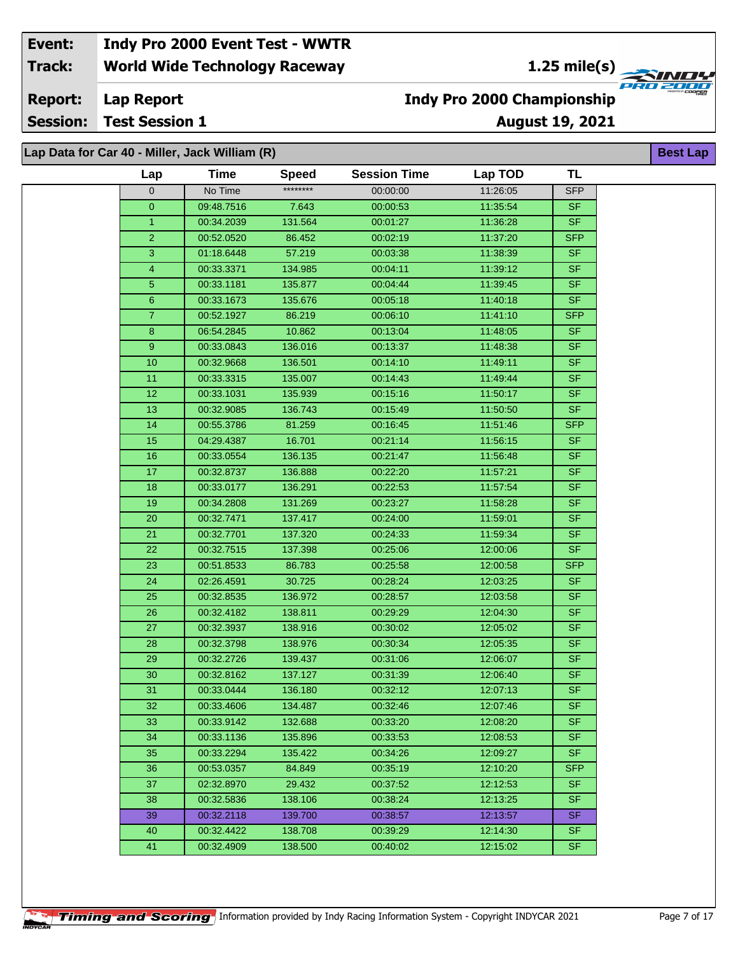**August 19, 2021**

**Report:**

**Session: Test Session 1**

## **Indy Pro 2000 Championship**

**b** 

| Lap Data for Car 40 - Miller, Jack William (R)<br><b>Best La</b> |             |              |                     |          |            |  |  |  |
|------------------------------------------------------------------|-------------|--------------|---------------------|----------|------------|--|--|--|
| Lap                                                              | <b>Time</b> | <b>Speed</b> | <b>Session Time</b> | Lap TOD  | <b>TL</b>  |  |  |  |
| $\mathbf 0$                                                      | No Time     | ********     | 00:00:00            | 11:26:05 | <b>SFP</b> |  |  |  |
| $\overline{0}$                                                   | 09:48.7516  | 7.643        | 00:00:53            | 11:35:54 | <b>SF</b>  |  |  |  |
| $\mathbf{1}$                                                     | 00:34.2039  | 131.564      | 00:01:27            | 11:36:28 | <b>SF</b>  |  |  |  |
| $\overline{2}$                                                   | 00:52.0520  | 86.452       | 00:02:19            | 11:37:20 | <b>SFP</b> |  |  |  |
| $\overline{3}$                                                   | 01:18.6448  | 57.219       | 00:03:38            | 11:38:39 | SF         |  |  |  |
| $\overline{4}$                                                   | 00:33.3371  | 134.985      | 00:04:11            | 11:39:12 | <b>SF</b>  |  |  |  |
| $\overline{5}$                                                   | 00:33.1181  | 135.877      | 00:04:44            | 11:39:45 | SF.        |  |  |  |
| $6 \overline{6}$                                                 | 00:33.1673  | 135.676      | 00:05:18            | 11:40:18 | <b>SF</b>  |  |  |  |
| $\mathbf{7}$                                                     | 00:52.1927  | 86.219       | 00:06:10            | 11:41:10 | <b>SFP</b> |  |  |  |
| 8                                                                | 06:54.2845  | 10.862       | 00:13:04            | 11:48:05 | <b>SF</b>  |  |  |  |
| $9^{\circ}$                                                      | 00:33.0843  | 136.016      | 00:13:37            | 11:48:38 | <b>SF</b>  |  |  |  |
| $10$                                                             | 00:32.9668  | 136.501      | 00:14:10            | 11:49:11 | <b>SF</b>  |  |  |  |
| 11                                                               | 00:33.3315  | 135.007      | 00:14:43            | 11:49:44 | SF.        |  |  |  |
| $\overline{12}$                                                  | 00:33.1031  | 135.939      | 00:15:16            | 11:50:17 | SF         |  |  |  |
| 13                                                               | 00:32.9085  | 136.743      | 00:15:49            | 11:50:50 | <b>SF</b>  |  |  |  |
| 14                                                               | 00:55.3786  | 81.259       | 00:16:45            | 11:51:46 | <b>SFP</b> |  |  |  |
| 15                                                               | 04:29.4387  | 16.701       | 00:21:14            | 11:56:15 | SF         |  |  |  |
| 16                                                               | 00:33.0554  | 136.135      | 00:21:47            | 11:56:48 | <b>SF</b>  |  |  |  |
| 17                                                               | 00:32.8737  | 136.888      | 00:22:20            | 11:57:21 | <b>SF</b>  |  |  |  |
| 18                                                               | 00:33.0177  | 136.291      | 00:22:53            | 11:57:54 | <b>SF</b>  |  |  |  |
| 19                                                               | 00:34.2808  | 131.269      | 00:23:27            | 11:58:28 | <b>SF</b>  |  |  |  |
| 20                                                               | 00:32.7471  | 137.417      | 00:24:00            | 11:59:01 | <b>SF</b>  |  |  |  |
| 21                                                               | 00:32.7701  | 137.320      | 00:24:33            | 11:59:34 | <b>SF</b>  |  |  |  |
| 22                                                               | 00:32.7515  | 137.398      | 00:25:06            | 12:00:06 | <b>SF</b>  |  |  |  |
| 23                                                               | 00:51.8533  | 86.783       | 00:25:58            | 12:00:58 | <b>SFP</b> |  |  |  |
| 24                                                               | 02:26.4591  | 30.725       | 00:28:24            | 12:03:25 | <b>SF</b>  |  |  |  |
| 25                                                               | 00:32.8535  | 136.972      | 00:28:57            | 12:03:58 | <b>SF</b>  |  |  |  |
| 26                                                               | 00:32.4182  | 138.811      | 00:29:29            | 12:04:30 | <b>SF</b>  |  |  |  |
| 27                                                               | 00:32.3937  | 138.916      | 00:30:02            | 12:05:02 | <b>SF</b>  |  |  |  |
| 28                                                               | 00:32.3798  | 138.976      | 00:30:34            | 12:05:35 | SF         |  |  |  |
| 29                                                               | 00:32.2726  | 139.437      | 00:31:06            | 12:06:07 | <b>SF</b>  |  |  |  |
| 30                                                               | 00:32.8162  | 137.127      | 00:31:39            | 12:06:40 | SF.        |  |  |  |
| 31                                                               | 00:33.0444  | 136.180      | 00:32:12            | 12:07:13 | <b>SF</b>  |  |  |  |
| 32                                                               | 00:33.4606  | 134.487      | 00:32:46            | 12:07:46 | <b>SF</b>  |  |  |  |
| 33                                                               | 00:33.9142  | 132.688      | 00:33:20            | 12:08:20 | <b>SF</b>  |  |  |  |
| 34                                                               | 00:33.1136  | 135.896      | 00:33:53            | 12:08:53 | <b>SF</b>  |  |  |  |
| 35                                                               | 00:33.2294  | 135.422      | 00:34:26            | 12:09:27 | <b>SF</b>  |  |  |  |
| 36                                                               | 00:53.0357  | 84.849       | 00:35:19            | 12:10:20 | SFP        |  |  |  |
| 37                                                               | 02:32.8970  | 29.432       | 00:37:52            | 12:12:53 | SF.        |  |  |  |
| 38                                                               | 00:32.5836  | 138.106      | 00:38:24            | 12:13:25 | SF.        |  |  |  |
| 39                                                               | 00:32.2118  | 139.700      | 00:38:57            | 12:13:57 | SF.        |  |  |  |
| 40                                                               | 00:32.4422  | 138.708      | 00:39:29            | 12:14:30 | <b>SF</b>  |  |  |  |
| 41                                                               | 00:32.4909  | 138.500      | 00:40:02            | 12:15:02 | <b>SF</b>  |  |  |  |
|                                                                  |             |              |                     |          |            |  |  |  |



**Lap Report**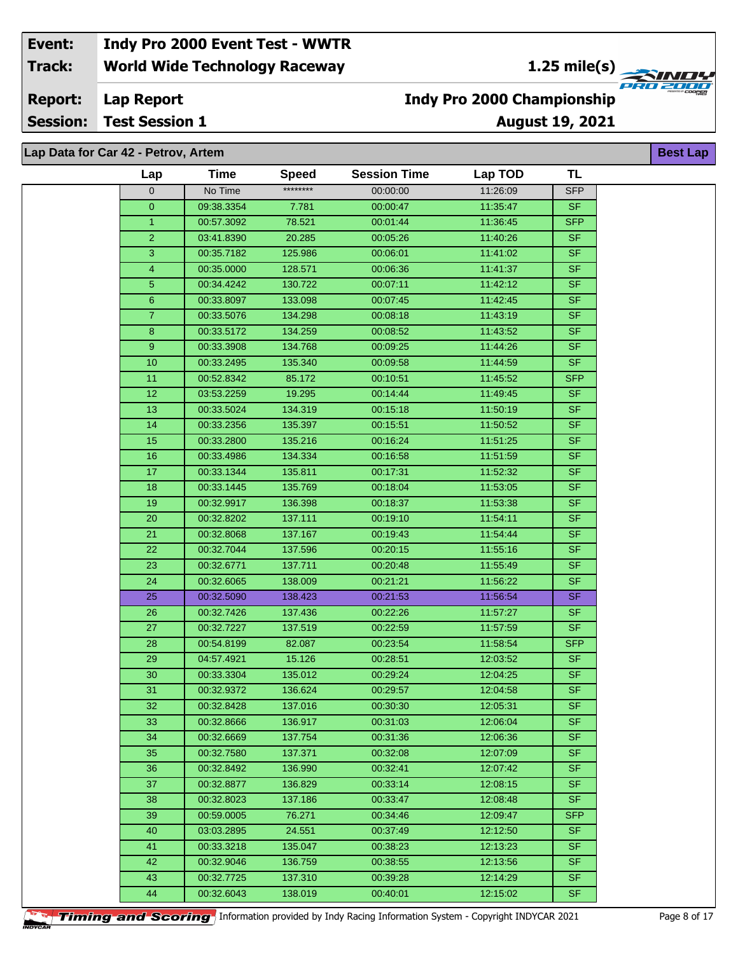**1.25 mile(s)**

**Lap Report Report:**

**Session: Test Session 1**

### **August 19, 2021 Indy Pro 2000 Championship**

**Best Lap**

**AND!** 

| ap Data for Car 42 - Petrov, Artem |                 |             |              |                     |          |            |  |  |
|------------------------------------|-----------------|-------------|--------------|---------------------|----------|------------|--|--|
|                                    | Lap             | <b>Time</b> | <b>Speed</b> | <b>Session Time</b> | Lap TOD  | <b>TL</b>  |  |  |
|                                    | $\mathbf 0$     | No Time     | ********     | 00:00:00            | 11:26:09 | <b>SFP</b> |  |  |
|                                    | $\mathbf{0}$    | 09:38.3354  | 7.781        | 00:00:47            | 11:35:47 | <b>SF</b>  |  |  |
|                                    | $\overline{1}$  | 00:57.3092  | 78.521       | 00:01:44            | 11:36:45 | <b>SFP</b> |  |  |
|                                    | $\overline{c}$  | 03:41.8390  | 20.285       | 00:05:26            | 11:40:26 | <b>SF</b>  |  |  |
|                                    | 3               | 00:35.7182  | 125.986      | 00:06:01            | 11:41:02 | <b>SF</b>  |  |  |
|                                    | 4               | 00:35.0000  | 128.571      | 00:06:36            | 11:41:37 | <b>SF</b>  |  |  |
|                                    | $\overline{5}$  | 00:34.4242  | 130.722      | 00:07:11            | 11:42:12 | <b>SF</b>  |  |  |
|                                    | 6               | 00:33.8097  | 133.098      | 00:07:45            | 11:42:45 | <b>SF</b>  |  |  |
|                                    | $\overline{7}$  | 00:33.5076  | 134.298      | 00:08:18            | 11:43:19 | <b>SF</b>  |  |  |
|                                    | $\bf8$          | 00:33.5172  | 134.259      | 00:08:52            | 11:43:52 | <b>SF</b>  |  |  |
|                                    | 9               | 00:33.3908  | 134.768      | 00:09:25            | 11:44:26 | <b>SF</b>  |  |  |
|                                    | 10              | 00:33.2495  | 135.340      | 00:09:58            | 11:44:59 | <b>SF</b>  |  |  |
|                                    | 11              | 00:52.8342  | 85.172       | 00:10:51            | 11:45:52 | <b>SFP</b> |  |  |
|                                    | $\overline{12}$ | 03:53.2259  | 19.295       | 00:14:44            | 11:49:45 | <b>SF</b>  |  |  |
|                                    | 13              | 00:33.5024  | 134.319      | 00:15:18            | 11:50:19 | <b>SF</b>  |  |  |
|                                    | 14              | 00:33.2356  | 135.397      | 00:15:51            | 11:50:52 | <b>SF</b>  |  |  |
|                                    | 15              | 00:33.2800  | 135.216      | 00:16:24            | 11:51:25 | <b>SF</b>  |  |  |
|                                    | 16              | 00:33.4986  | 134.334      | 00:16:58            | 11:51:59 | <b>SF</b>  |  |  |
|                                    | 17              | 00:33.1344  | 135.811      | 00:17:31            | 11:52:32 | <b>SF</b>  |  |  |
|                                    | 18              | 00:33.1445  | 135.769      | 00:18:04            | 11:53:05 | <b>SF</b>  |  |  |
|                                    | 19              | 00:32.9917  | 136.398      | 00:18:37            | 11:53:38 | <b>SF</b>  |  |  |
|                                    | 20              | 00:32.8202  | 137.111      | 00:19:10            | 11:54:11 | <b>SF</b>  |  |  |
|                                    | 21              | 00:32.8068  | 137.167      | 00:19:43            | 11:54:44 | <b>SF</b>  |  |  |
|                                    | 22              | 00:32.7044  | 137.596      | 00:20:15            | 11:55:16 | SF         |  |  |
|                                    | 23              | 00:32.6771  | 137.711      | 00:20:48            | 11:55:49 | <b>SF</b>  |  |  |
|                                    | 24              | 00:32.6065  | 138.009      | 00:21:21            | 11:56:22 | <b>SF</b>  |  |  |
|                                    | 25              | 00:32.5090  | 138.423      | 00:21:53            | 11:56:54 | <b>SF</b>  |  |  |
|                                    | 26              | 00:32.7426  | 137.436      | 00:22:26            | 11:57:27 | <b>SF</b>  |  |  |
|                                    | 27              | 00:32.7227  | 137.519      | 00:22:59            | 11:57:59 | <b>SF</b>  |  |  |
|                                    | 28              | 00:54.8199  | 82.087       | 00:23:54            | 11:58:54 | <b>SFP</b> |  |  |
|                                    | 29              | 04:57.4921  | 15.126       | 00:28:51            | 12:03:52 | <b>SF</b>  |  |  |
|                                    | 30              | 00:33.3304  | 135.012      | 00:29:24            | 12:04:25 | <b>SF</b>  |  |  |
|                                    | 31              | 00:32.9372  | 136.624      | 00:29:57            | 12:04:58 | SF.        |  |  |
|                                    | 32              | 00:32.8428  | 137.016      | 00:30:30            | 12:05:31 | <b>SF</b>  |  |  |
|                                    | 33              | 00:32.8666  | 136.917      | 00:31:03            | 12:06:04 | <b>SF</b>  |  |  |
|                                    | 34              | 00:32.6669  | 137.754      | 00:31:36            | 12:06:36 | <b>SF</b>  |  |  |
|                                    | 35              | 00:32.7580  | 137.371      | 00:32:08            | 12:07:09 | <b>SF</b>  |  |  |
|                                    | 36              | 00:32.8492  | 136.990      | 00:32:41            | 12:07:42 | <b>SF</b>  |  |  |
|                                    | 37              | 00:32.8877  | 136.829      | 00:33:14            | 12:08:15 | <b>SF</b>  |  |  |
|                                    | 38              | 00:32.8023  | 137.186      | 00:33:47            | 12:08:48 | <b>SF</b>  |  |  |
|                                    | 39              | 00:59.0005  | 76.271       | 00:34:46            | 12:09:47 | <b>SFP</b> |  |  |
|                                    | 40              | 03:03.2895  | 24.551       | 00:37:49            | 12:12:50 | <b>SF</b>  |  |  |
|                                    | 41              | 00:33.3218  | 135.047      | 00:38:23            | 12:13:23 | <b>SF</b>  |  |  |
|                                    | 42              | 00:32.9046  | 136.759      | 00:38:55            | 12:13:56 | <b>SF</b>  |  |  |
|                                    | 43              | 00:32.7725  | 137.310      | 00:39:28            | 12:14:29 | <b>SF</b>  |  |  |
|                                    | 44              | 00:32.6043  | 138.019      | 00:40:01            | 12:15:02 | SF         |  |  |
|                                    |                 |             |              |                     |          |            |  |  |

**Timing and Scoring** Information provided by Indy Racing Information System - Copyright INDYCAR 2021 Page 8 of 17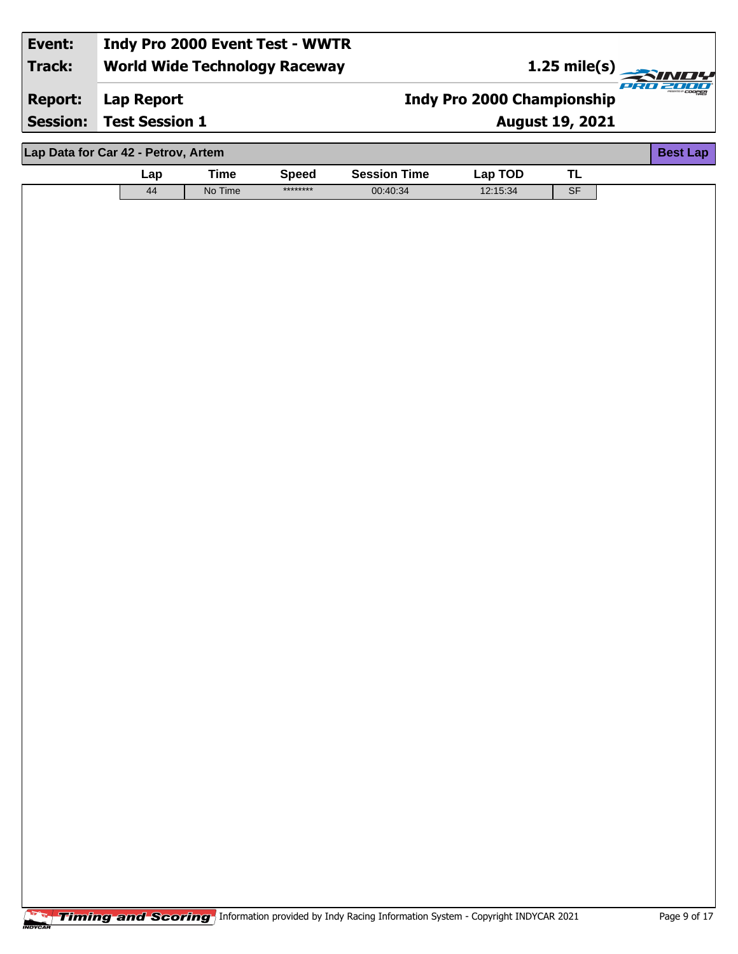#### **World Wide Technology Raceway Lap Report August 19, 2021 Event: Indy Pro 2000 Event Test - WWTR Track: Report: Session: Test Session 1 Indy Pro 2000 Championship 1.25 mile(s)**<br> **1.25 mile(s)**<br> **1.25 mile(s)**

| Lap Data for Car 42 - Petrov, Artem<br><b>Best Lap</b> |     |             |              |                     |          |           |  |  |  |
|--------------------------------------------------------|-----|-------------|--------------|---------------------|----------|-----------|--|--|--|
|                                                        | Lap | <b>Time</b> | <b>Speed</b> | <b>Session Time</b> | Lap TOD  | <b>TL</b> |  |  |  |
|                                                        | 44  | No Time     | ********     | 00:40:34            | 12:15:34 | SF        |  |  |  |
|                                                        |     |             |              |                     |          |           |  |  |  |
|                                                        |     |             |              |                     |          |           |  |  |  |
|                                                        |     |             |              |                     |          |           |  |  |  |
|                                                        |     |             |              |                     |          |           |  |  |  |
|                                                        |     |             |              |                     |          |           |  |  |  |
|                                                        |     |             |              |                     |          |           |  |  |  |
|                                                        |     |             |              |                     |          |           |  |  |  |
|                                                        |     |             |              |                     |          |           |  |  |  |
|                                                        |     |             |              |                     |          |           |  |  |  |
|                                                        |     |             |              |                     |          |           |  |  |  |
|                                                        |     |             |              |                     |          |           |  |  |  |
|                                                        |     |             |              |                     |          |           |  |  |  |
|                                                        |     |             |              |                     |          |           |  |  |  |
|                                                        |     |             |              |                     |          |           |  |  |  |
|                                                        |     |             |              |                     |          |           |  |  |  |
|                                                        |     |             |              |                     |          |           |  |  |  |
|                                                        |     |             |              |                     |          |           |  |  |  |
|                                                        |     |             |              |                     |          |           |  |  |  |
|                                                        |     |             |              |                     |          |           |  |  |  |
|                                                        |     |             |              |                     |          |           |  |  |  |
|                                                        |     |             |              |                     |          |           |  |  |  |
|                                                        |     |             |              |                     |          |           |  |  |  |
|                                                        |     |             |              |                     |          |           |  |  |  |
|                                                        |     |             |              |                     |          |           |  |  |  |
|                                                        |     |             |              |                     |          |           |  |  |  |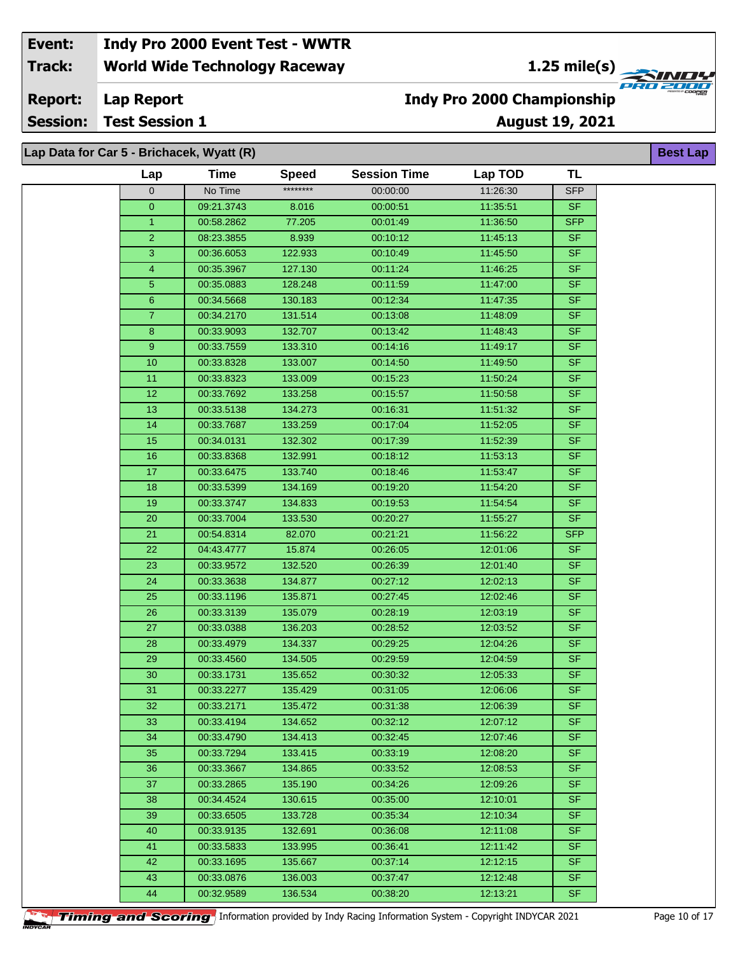**1.25 mile(s)**

**August 19, 2021**

**Lap Report Report:**

**Session: Test Session 1**

**Lap Data for Car 5 - Brichacek, Wyatt (R)**

# **Indy Pro 2000 Championship**

**Best Lap**

**FRA 2000** 

| $\mathsf{Lap}$ bala for oar of brionabon, refail (iv) |            |              |                     |          |            | pool pup |
|-------------------------------------------------------|------------|--------------|---------------------|----------|------------|----------|
| Lap                                                   | Time       | <b>Speed</b> | <b>Session Time</b> | Lap TOD  | <b>TL</b>  |          |
| 0                                                     | No Time    | ********     | 00:00:00            | 11:26:30 | <b>SFP</b> |          |
| $\overline{0}$                                        | 09:21.3743 | 8.016        | 00:00:51            | 11:35:51 | <b>SF</b>  |          |
| $\mathbf{1}$                                          | 00:58.2862 | 77.205       | 00:01:49            | 11:36:50 | <b>SFP</b> |          |
| $\overline{2}$                                        | 08:23.3855 | 8.939        | 00:10:12            | 11:45:13 | <b>SF</b>  |          |
| $\overline{3}$                                        | 00:36.6053 | 122.933      | 00:10:49            | 11:45:50 | <b>SF</b>  |          |
| 4                                                     | 00:35.3967 | 127.130      | 00:11:24            | 11:46:25 | <b>SF</b>  |          |
| $\overline{5}$                                        | 00:35.0883 | 128.248      | 00:11:59            | 11:47:00 | <b>SF</b>  |          |
| $\boldsymbol{6}$                                      | 00:34.5668 | 130.183      | 00:12:34            | 11:47:35 | <b>SF</b>  |          |
| $\mathbf{7}$                                          | 00:34.2170 | 131.514      | 00:13:08            | 11:48:09 | <b>SF</b>  |          |
| 8                                                     | 00:33.9093 | 132.707      | 00:13:42            | 11:48:43 | <b>SF</b>  |          |
| 9 <sup>°</sup>                                        | 00:33.7559 | 133.310      | 00:14:16            | 11:49:17 | <b>SF</b>  |          |
| 10                                                    | 00:33.8328 | 133.007      | 00:14:50            | 11:49:50 | <b>SF</b>  |          |
| 11                                                    | 00:33.8323 | 133.009      | 00:15:23            | 11:50:24 | <b>SF</b>  |          |
| 12                                                    | 00:33.7692 | 133.258      | 00:15:57            | 11:50:58 | <b>SF</b>  |          |
| 13                                                    | 00:33.5138 | 134.273      | 00:16:31            | 11:51:32 | <b>SF</b>  |          |
| 14                                                    | 00:33.7687 | 133.259      | 00:17:04            | 11:52:05 | <b>SF</b>  |          |
| 15                                                    | 00:34.0131 | 132.302      | 00:17:39            | 11:52:39 | <b>SF</b>  |          |
| 16                                                    | 00:33.8368 | 132.991      | 00:18:12            | 11:53:13 | <b>SF</b>  |          |
| 17                                                    | 00:33.6475 | 133.740      | 00:18:46            | 11:53:47 | <b>SF</b>  |          |
| 18                                                    | 00:33.5399 | 134.169      | 00:19:20            | 11:54:20 | <b>SF</b>  |          |
| 19                                                    | 00:33.3747 | 134.833      | 00:19:53            | 11:54:54 | <b>SF</b>  |          |
| 20                                                    | 00:33.7004 | 133.530      | 00:20:27            | 11:55:27 | <b>SF</b>  |          |
| $\overline{21}$                                       | 00:54.8314 | 82.070       | 00:21:21            | 11:56:22 | <b>SFP</b> |          |
| 22                                                    | 04:43.4777 | 15.874       | 00:26:05            | 12:01:06 | <b>SF</b>  |          |
| 23                                                    | 00:33.9572 | 132.520      | 00:26:39            | 12:01:40 | <b>SF</b>  |          |
| 24                                                    | 00:33.3638 | 134.877      | 00:27:12            | 12:02:13 | SF         |          |
| 25                                                    | 00:33.1196 | 135.871      | 00:27:45            | 12:02:46 | <b>SF</b>  |          |
| 26                                                    | 00:33.3139 | 135.079      | 00:28:19            | 12:03:19 | <b>SF</b>  |          |
| 27                                                    | 00:33.0388 | 136.203      | 00:28:52            | 12:03:52 | <b>SF</b>  |          |
| 28                                                    | 00:33.4979 | 134.337      | 00:29:25            | 12:04:26 | <b>SF</b>  |          |
| 29                                                    | 00:33.4560 | 134.505      | 00:29:59            | 12:04:59 | <b>SF</b>  |          |
| 30                                                    | 00:33.1731 | 135.652      | 00:30:32            | 12:05:33 | $S$ F      |          |
| 31                                                    | 00:33.2277 | 135.429      | 00:31:05            | 12:06:06 | <b>SF</b>  |          |
| 32                                                    | 00:33.2171 | 135.472      | 00:31:38            | 12:06:39 | <b>SF</b>  |          |
| 33                                                    | 00:33.4194 | 134.652      | 00:32:12            | 12:07:12 | <b>SF</b>  |          |
| 34                                                    | 00:33.4790 | 134.413      | 00:32:45            | 12:07:46 | SF.        |          |
| 35                                                    | 00:33.7294 | 133.415      | 00:33:19            | 12:08:20 | <b>SF</b>  |          |
| 36                                                    | 00:33.3667 | 134.865      | 00:33:52            | 12:08:53 | <b>SF</b>  |          |
| 37                                                    | 00:33.2865 | 135.190      | 00:34:26            | 12:09:26 | <b>SF</b>  |          |
| 38                                                    | 00:34.4524 | 130.615      | 00:35:00            | 12:10:01 | <b>SF</b>  |          |
| 39                                                    | 00:33.6505 | 133.728      | 00:35:34            | 12:10:34 | <b>SF</b>  |          |
| 40                                                    | 00:33.9135 | 132.691      | 00:36:08            | 12:11:08 | <b>SF</b>  |          |
| 41                                                    | 00:33.5833 | 133.995      | 00:36:41            | 12:11:42 | <b>SF</b>  |          |
| 42                                                    | 00:33.1695 | 135.667      | 00:37:14            | 12:12:15 | <b>SF</b>  |          |
| 43                                                    | 00:33.0876 | 136.003      | 00:37:47            | 12:12:48 | <b>SF</b>  |          |
| 44                                                    | 00:32.9589 | 136.534      | 00:38:20            | 12:13:21 | <b>SF</b>  |          |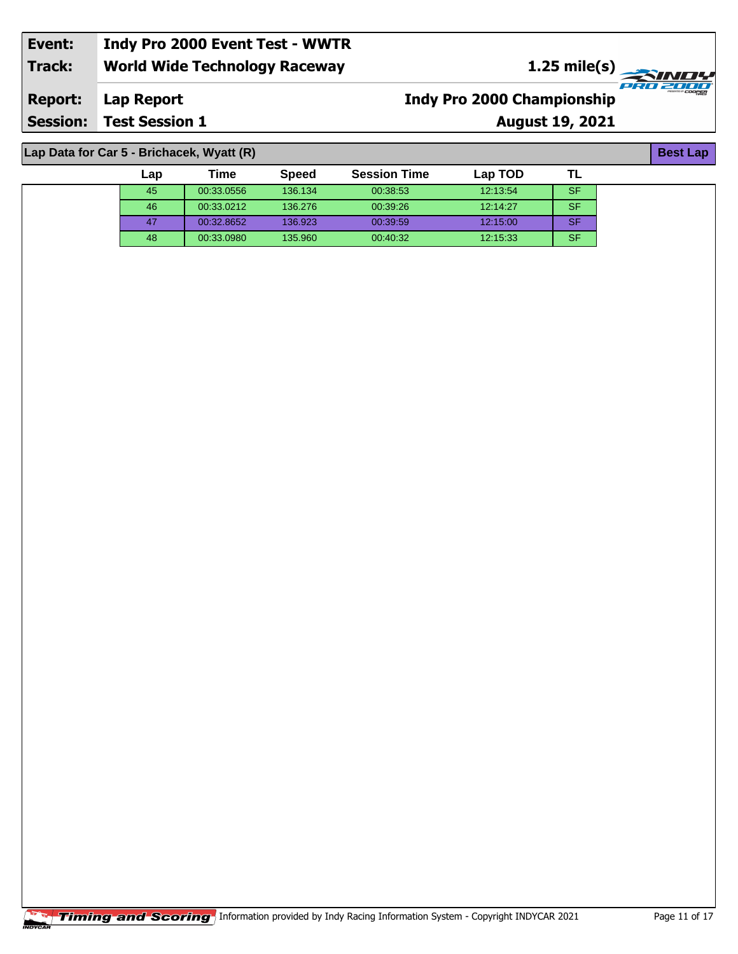| Event:                                                       | Indy Pro 2000 Event Test - WWTR      |                                                  |                      |  |  |  |  |  |  |
|--------------------------------------------------------------|--------------------------------------|--------------------------------------------------|----------------------|--|--|--|--|--|--|
| <b>Track:</b>                                                | <b>World Wide Technology Raceway</b> | $\frac{1.25 \text{ mile(s)}}{4.25 \text{ mm/s}}$ |                      |  |  |  |  |  |  |
| <b>Report:</b>                                               | Lap Report                           | <b>Indy Pro 2000 Championship</b>                | <i><b>COOPER</b></i> |  |  |  |  |  |  |
| <b>Session:</b>                                              | <b>Test Session 1</b>                | <b>August 19, 2021</b>                           |                      |  |  |  |  |  |  |
|                                                              |                                      |                                                  |                      |  |  |  |  |  |  |
| Lap Data for Car 5 - Brichacek, Wyatt (R)<br><b>Best Lap</b> |                                      |                                                  |                      |  |  |  |  |  |  |

| Lap | Time       | <b>Speed</b> | <b>Session Time</b> | Lap TOD  | .∟        |
|-----|------------|--------------|---------------------|----------|-----------|
| 45  | 00:33.0556 | 136.134      | 00:38:53            | 12:13:54 | <b>SF</b> |
| 46  | 00:33.0212 | 136,276      | 00:39:26            | 12:14:27 | <b>SF</b> |
| 47  | 00:32.8652 | 136.923      | 00:39:59            | 12:15:00 | <b>SF</b> |
| 48  | 00:33.0980 | 135.960      | 00:40:32            | 12.15.33 | <b>SF</b> |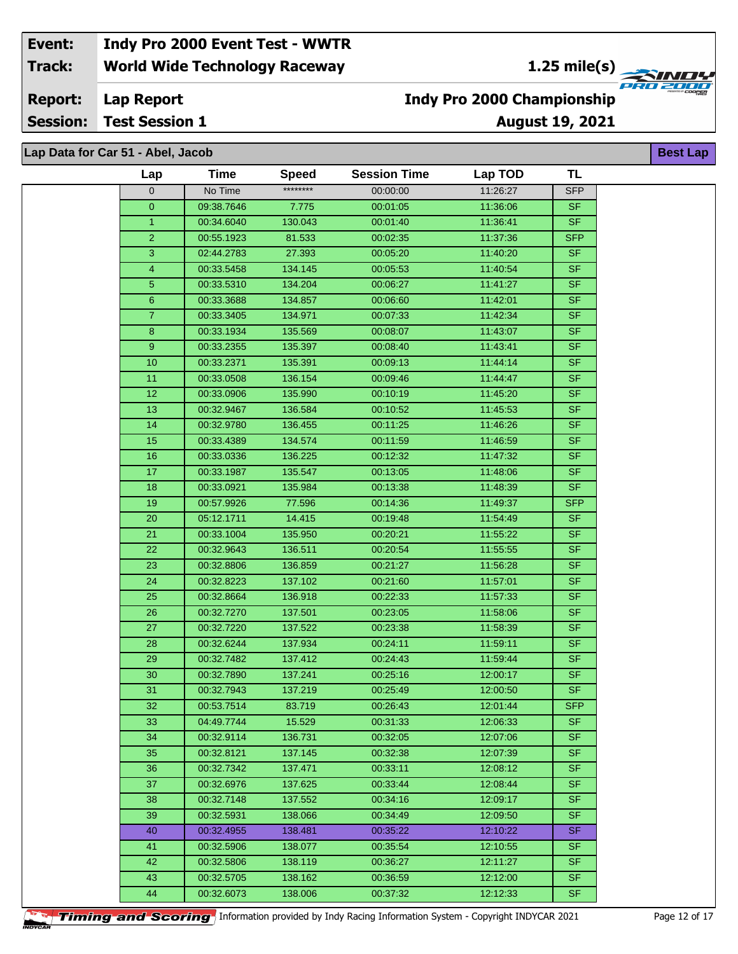**1.25 mile(s)**<br>
FRU 2004

#### **Lap Report Report:**

**Session: Test Session 1**

### **August 19, 2021 Indy Pro 2000 Championship**

**Best Lap**

|  |  |  |  |  |  | --------- |  |  |  |  |
|--|--|--|--|--|--|-----------|--|--|--|--|
|  |  |  |  |  |  |           |  |  |  |  |
|  |  |  |  |  |  |           |  |  |  |  |
|  |  |  |  |  |  |           |  |  |  |  |

| Lap Data for Car 51 - Abel, Jacob<br><b>Best La</b> |                |             |              |                     |          |                          |  |  |  |
|-----------------------------------------------------|----------------|-------------|--------------|---------------------|----------|--------------------------|--|--|--|
|                                                     | Lap            | <b>Time</b> | <b>Speed</b> | <b>Session Time</b> | Lap TOD  | <b>TL</b>                |  |  |  |
|                                                     | $\overline{0}$ | No Time     | ********     | 00:00:00            | 11:26:27 | <b>SFP</b>               |  |  |  |
|                                                     | $\overline{0}$ | 09:38.7646  | 7.775        | 00:01:05            | 11:36:06 | <b>SF</b>                |  |  |  |
|                                                     | 1              | 00:34.6040  | 130.043      | 00:01:40            | 11:36:41 | SF                       |  |  |  |
|                                                     | $\overline{2}$ | 00:55.1923  | 81.533       | 00:02:35            | 11:37:36 | <b>SFP</b>               |  |  |  |
|                                                     | 3              | 02:44.2783  | 27.393       | 00:05:20            | 11:40:20 | <b>SF</b>                |  |  |  |
|                                                     | 4              | 00:33.5458  | 134.145      | 00:05:53            | 11:40:54 | <b>SF</b>                |  |  |  |
|                                                     | 5 <sup>5</sup> | 00:33.5310  | 134.204      | 00:06:27            | 11:41:27 | <b>SF</b>                |  |  |  |
|                                                     | 6              | 00:33.3688  | 134.857      | 00:06:60            | 11:42:01 | SF                       |  |  |  |
|                                                     | $\overline{7}$ | 00:33.3405  | 134.971      | 00:07:33            | 11:42:34 | <b>SF</b>                |  |  |  |
|                                                     | $\bf 8$        | 00:33.1934  | 135.569      | 00:08:07            | 11:43:07 | <b>SF</b>                |  |  |  |
|                                                     | 9              | 00:33.2355  | 135.397      | 00:08:40            | 11:43:41 | <b>SF</b>                |  |  |  |
|                                                     | 10             | 00:33.2371  | 135.391      | 00:09:13            | 11:44:14 | <b>SF</b>                |  |  |  |
|                                                     | 11             | 00:33.0508  | 136.154      | 00:09:46            | 11:44:47 | <b>SF</b>                |  |  |  |
|                                                     | 12             | 00:33.0906  | 135.990      | 00:10:19            | 11:45:20 | <b>SF</b>                |  |  |  |
|                                                     | 13             | 00:32.9467  | 136.584      | 00:10:52            | 11:45:53 | SF                       |  |  |  |
|                                                     | 14             | 00:32.9780  | 136.455      | 00:11:25            | 11:46:26 | <b>SF</b>                |  |  |  |
|                                                     | 15             | 00:33.4389  | 134.574      | 00:11:59            | 11:46:59 | <b>SF</b>                |  |  |  |
|                                                     | 16             | 00:33.0336  | 136.225      | 00:12:32            | 11:47:32 | SF.                      |  |  |  |
|                                                     | 17             | 00:33.1987  | 135.547      | 00:13:05            | 11:48:06 | <b>SF</b>                |  |  |  |
|                                                     | 18             | 00:33.0921  | 135.984      | 00:13:38            | 11:48:39 | <b>SF</b>                |  |  |  |
|                                                     | 19             | 00:57.9926  | 77.596       | 00:14:36            | 11:49:37 | <b>SFP</b>               |  |  |  |
|                                                     | 20             | 05:12.1711  | 14.415       | 00:19:48            | 11:54:49 | <b>SF</b>                |  |  |  |
|                                                     | 21             | 00:33.1004  | 135.950      | 00:20:21            | 11:55:22 | <b>SF</b>                |  |  |  |
|                                                     | 22             | 00:32.9643  | 136.511      | 00:20:54            | 11:55:55 | <b>SF</b>                |  |  |  |
|                                                     | 23             | 00:32.8806  | 136.859      | 00:21:27            | 11:56:28 | <b>SF</b>                |  |  |  |
|                                                     | 24             | 00:32.8223  | 137.102      | 00:21:60            | 11:57:01 | <b>SF</b>                |  |  |  |
|                                                     | 25             | 00:32.8664  | 136.918      | 00:22:33            | 11:57:33 | <b>SF</b>                |  |  |  |
|                                                     | 26             | 00:32.7270  | 137.501      | 00:23:05            | 11:58:06 | $\overline{\mathsf{SF}}$ |  |  |  |
|                                                     | 27             | 00:32.7220  | 137.522      | 00:23:38            | 11:58:39 | <b>SF</b>                |  |  |  |
|                                                     | 28             | 00:32.6244  | 137.934      | 00:24:11            | 11:59:11 | <b>SF</b>                |  |  |  |
|                                                     | 29             | 00:32.7482  | 137.412      | 00:24:43            | 11:59:44 | <b>SF</b>                |  |  |  |
|                                                     | 30             | 00:32.7890  | 137.241      | 00:25:16            | 12:00:17 | <b>SF</b>                |  |  |  |
|                                                     | 31             | 00:32.7943  | 137.219      | 00:25:49            | 12:00:50 | <b>SF</b>                |  |  |  |
|                                                     | 32             | 00:53.7514  | 83.719       | 00:26:43            | 12:01:44 | <b>SFP</b>               |  |  |  |
|                                                     | 33             | 04:49.7744  | 15.529       | 00:31:33            | 12:06:33 | <b>SF</b>                |  |  |  |
|                                                     | 34             | 00:32.9114  | 136.731      | 00:32:05            | 12:07:06 | SF.                      |  |  |  |
|                                                     | 35             | 00:32.8121  | 137.145      | 00:32:38            | 12:07:39 | SF.                      |  |  |  |
|                                                     | 36             | 00:32.7342  | 137.471      | 00:33:11            | 12:08:12 | SF.                      |  |  |  |
|                                                     | 37             | 00:32.6976  | 137.625      | 00:33:44            | 12:08:44 | <b>SF</b>                |  |  |  |
|                                                     | 38             | 00:32.7148  | 137.552      | 00:34:16            | 12:09:17 | SF.                      |  |  |  |
|                                                     | 39             | 00:32.5931  | 138.066      | 00:34:49            | 12:09:50 | <b>SF</b>                |  |  |  |
|                                                     | 40             | 00:32.4955  | 138.481      | 00:35:22            | 12:10:22 | SF.                      |  |  |  |
|                                                     | 41             | 00:32.5906  | 138.077      | 00:35:54            | 12:10:55 | SF.                      |  |  |  |
|                                                     | 42             | 00:32.5806  | 138.119      | 00:36:27            | 12:11:27 | SF.                      |  |  |  |
|                                                     | 43             | 00:32.5705  | 138.162      | 00:36:59            | 12:12:00 | SF.                      |  |  |  |
|                                                     | 44             | 00:32.6073  | 138.006      | 00:37:32            | 12:12:33 | SF.                      |  |  |  |
|                                                     |                |             |              |                     |          |                          |  |  |  |

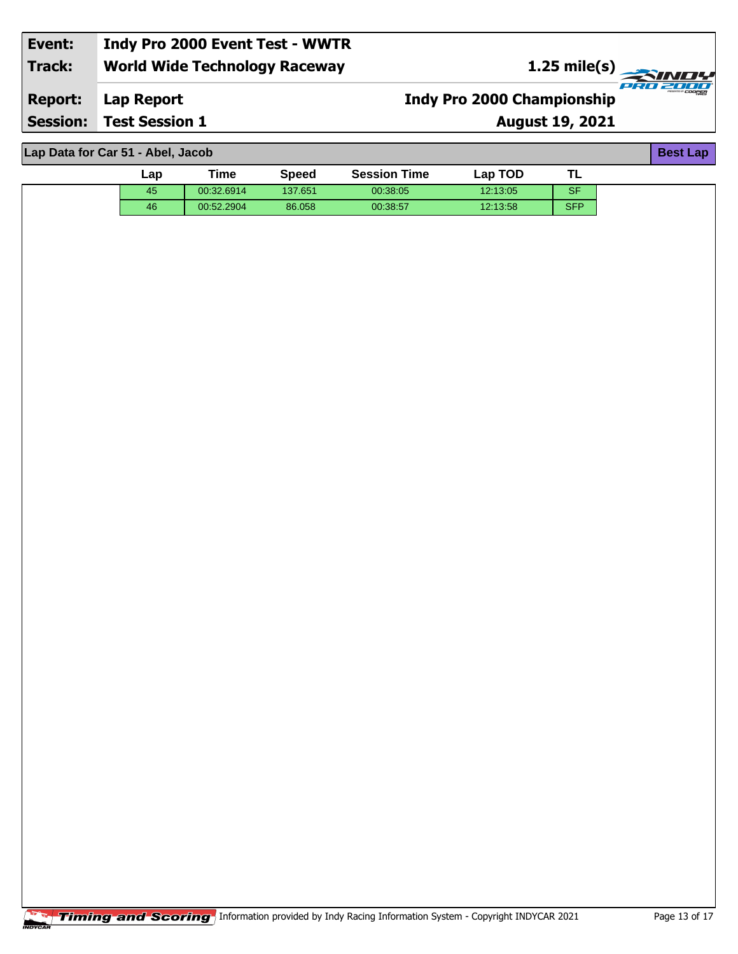| Event:         | Indy Pro 2000 Event Test - WWTR      |                                   |               |
|----------------|--------------------------------------|-----------------------------------|---------------|
| Track:         | <b>World Wide Technology Raceway</b> |                                   | 1.25 mile(s)  |
| <b>Report:</b> | Lap Report                           | <b>Indy Pro 2000 Championship</b> | mssmow COOPER |
|                | <b>Session: Test Session 1</b>       | <b>August 19, 2021</b>            |               |

| Lap Data for Car 51 - Abel, Jacob |     |            |              |                     |          |            |  |  |  |
|-----------------------------------|-----|------------|--------------|---------------------|----------|------------|--|--|--|
|                                   | ∟ap | Time       | <b>Speed</b> | <b>Session Time</b> | Lap TOD  | TL         |  |  |  |
|                                   | 45  | 00:32.6914 | 137.651      | 00:38:05            | 12:13:05 | <b>SF</b>  |  |  |  |
|                                   | 46  | 00:52.2904 | 86.058       | 00:38:57            | 12:13:58 | <b>SFP</b> |  |  |  |
|                                   |     |            |              |                     |          |            |  |  |  |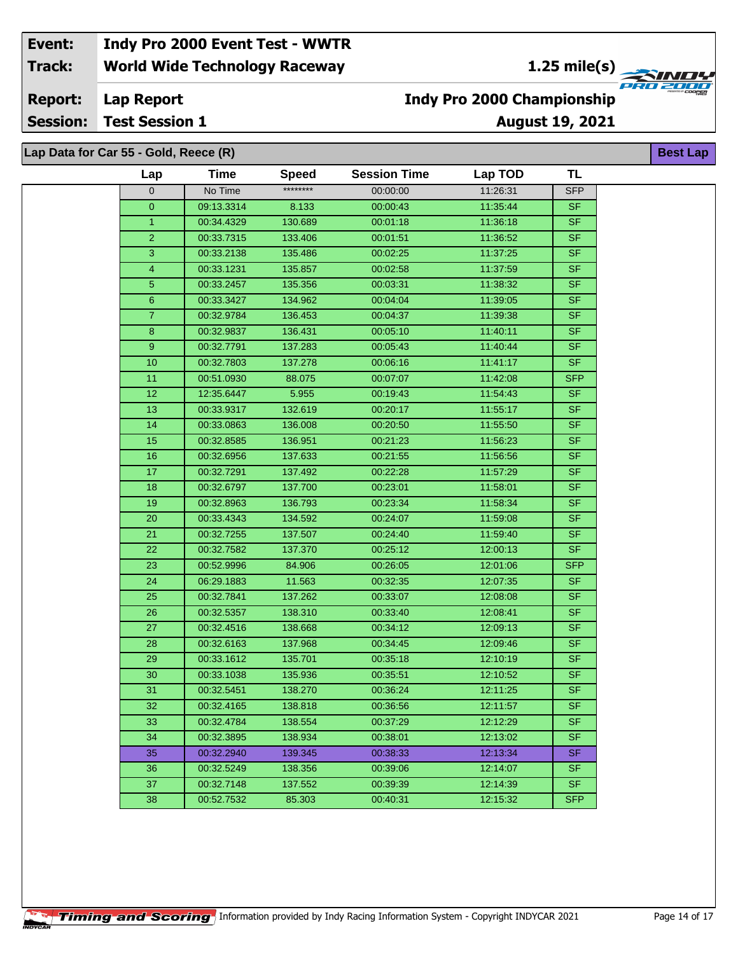**1.25 mile(s)**<br>
FRU 2000

**Lap Report Report:**

**Session: Test Session 1**

## **Indy Pro 2000 Championship**

**August 19, 2021**

**Best Lap**

**Lap Data for Car 55 - Gold, Reece (R)**

| Lap              | Time       | <b>Speed</b> | <b>Session Time</b> | Lap TOD  | <b>TL</b>  |
|------------------|------------|--------------|---------------------|----------|------------|
| $\mathbf 0$      | No Time    | ********     | 00:00:00            | 11:26:31 | <b>SFP</b> |
| $\mathbf{O}$     | 09:13.3314 | 8.133        | 00:00:43            | 11:35:44 | <b>SF</b>  |
| 1                | 00:34.4329 | 130.689      | 00:01:18            | 11:36:18 | <b>SF</b>  |
| $\overline{2}$   | 00:33.7315 | 133.406      | 00:01:51            | 11:36:52 | <b>SF</b>  |
| 3                | 00:33.2138 | 135.486      | 00:02:25            | 11:37:25 | <b>SF</b>  |
| 4                | 00:33.1231 | 135.857      | 00:02:58            | 11:37:59 | <b>SF</b>  |
| $\sqrt{5}$       | 00:33.2457 | 135.356      | 00:03:31            | 11:38:32 | <b>SF</b>  |
| $\mathbf 6$      | 00:33.3427 | 134.962      | 00:04:04            | 11:39:05 | <b>SF</b>  |
| $\overline{7}$   | 00:32.9784 | 136.453      | 00:04:37            | 11:39:38 | <b>SF</b>  |
| $\bf 8$          | 00:32.9837 | 136.431      | 00:05:10            | 11:40:11 | SF         |
| $\boldsymbol{9}$ | 00:32.7791 | 137.283      | 00:05:43            | 11:40:44 | <b>SF</b>  |
| 10               | 00:32.7803 | 137.278      | 00:06:16            | 11:41:17 | <b>SF</b>  |
| 11               | 00:51.0930 | 88.075       | 00:07:07            | 11:42:08 | <b>SFP</b> |
| 12               | 12:35.6447 | 5.955        | 00:19:43            | 11:54:43 | <b>SF</b>  |
| 13               | 00:33.9317 | 132.619      | 00:20:17            | 11:55:17 | <b>SF</b>  |
| 14               | 00:33.0863 | 136.008      | 00:20:50            | 11:55:50 | SF         |
| 15               | 00:32.8585 | 136.951      | 00:21:23            | 11:56:23 | <b>SF</b>  |
| 16               | 00:32.6956 | 137.633      | 00:21:55            | 11:56:56 | <b>SF</b>  |
| 17               | 00:32.7291 | 137.492      | 00:22:28            | 11:57:29 | <b>SF</b>  |
| $18$             | 00:32.6797 | 137.700      | 00:23:01            | 11:58:01 | <b>SF</b>  |
| 19               | 00:32.8963 | 136.793      | 00:23:34            | 11:58:34 | <b>SF</b>  |
| 20               | 00:33.4343 | 134.592      | 00:24:07            | 11:59:08 | <b>SF</b>  |
| $\overline{21}$  | 00:32.7255 | 137.507      | 00:24:40            | 11:59:40 | <b>SF</b>  |
| 22               | 00:32.7582 | 137.370      | 00:25:12            | 12:00:13 | <b>SF</b>  |
| 23               | 00:52.9996 | 84.906       | 00:26:05            | 12:01:06 | <b>SFP</b> |
| 24               | 06:29.1883 | 11.563       | 00:32:35            | 12:07:35 | <b>SF</b>  |
| 25               | 00:32.7841 | 137.262      | 00:33:07            | 12:08:08 | <b>SF</b>  |
| 26               | 00:32.5357 | 138.310      | 00:33:40            | 12:08:41 | <b>SF</b>  |
| 27               | 00:32.4516 | 138.668      | 00:34:12            | 12:09:13 | <b>SF</b>  |
| $\overline{28}$  | 00:32.6163 | 137.968      | 00:34:45            | 12:09:46 | <b>SF</b>  |
| 29               | 00:33.1612 | 135.701      | 00:35:18            | 12:10:19 | <b>SF</b>  |
| $30\,$           | 00:33.1038 | 135.936      | 00:35:51            | 12:10:52 | $S$ F      |
| 31               | 00:32.5451 | 138.270      | 00:36:24            | 12:11:25 | <b>SF</b>  |
| 32               | 00:32.4165 | 138.818      | 00:36:56            | 12:11:57 | SF.        |
| 33               | 00:32.4784 | 138.554      | 00:37:29            | 12:12:29 | <b>SF</b>  |
| 34               | 00:32.3895 | 138.934      | 00:38:01            | 12:13:02 | <b>SF</b>  |
| 35               | 00:32.2940 | 139.345      | 00:38:33            | 12:13:34 | <b>SF</b>  |
| 36               | 00:32.5249 | 138.356      | 00:39:06            | 12:14:07 | <b>SF</b>  |
| 37               | 00:32.7148 | 137.552      | 00:39:39            | 12:14:39 | <b>SF</b>  |
| 38               | 00:52.7532 | 85.303       | 00:40:31            | 12:15:32 | <b>SFP</b> |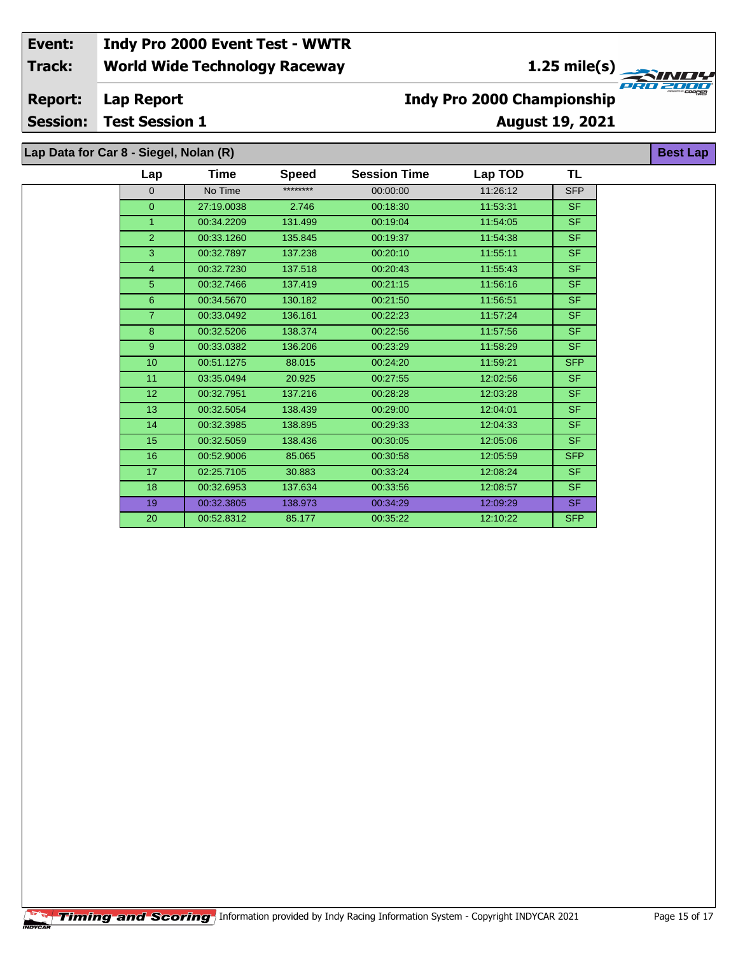**1.25 mile(s)**<br>
FRO 2004

**August 19, 2021**

**Lap Report Report:**

**Session: Test Session 1**

## **Indy Pro 2000 Championship**

**Best Lap**

|  | Lap Data for Car 8 - Siegel, Nolan (R) |  |
|--|----------------------------------------|--|

| Lap             | Time       | <b>Speed</b> | <b>Session Time</b> | Lap TOD  | TL         |
|-----------------|------------|--------------|---------------------|----------|------------|
| $\overline{0}$  | No Time    | ********     | 00:00:00            | 11:26:12 | <b>SFP</b> |
| $\overline{0}$  | 27:19.0038 | 2.746        | 00:18:30            | 11:53:31 | SF.        |
| $\mathbf{1}$    | 00:34.2209 | 131.499      | 00:19:04            | 11:54:05 | <b>SF</b>  |
| $\overline{2}$  | 00:33.1260 | 135.845      | 00:19:37            | 11:54:38 | SF.        |
| 3               | 00:32.7897 | 137.238      | 00:20:10            | 11:55:11 | <b>SF</b>  |
| $\overline{4}$  | 00:32.7230 | 137.518      | 00:20:43            | 11:55:43 | SF.        |
| 5 <sup>5</sup>  | 00:32.7466 | 137.419      | 00:21:15            | 11:56:16 | SF.        |
| 6               | 00:34.5670 | 130.182      | 00:21:50            | 11:56:51 | <b>SF</b>  |
| $\overline{7}$  | 00:33.0492 | 136.161      | 00:22:23            | 11:57:24 | <b>SF</b>  |
| 8               | 00:32.5206 | 138.374      | 00:22:56            | 11:57:56 | SF.        |
| 9               | 00:33.0382 | 136.206      | 00:23:29            | 11:58:29 | SF.        |
| 10              | 00:51.1275 | 88.015       | 00:24:20            | 11:59:21 | <b>SFP</b> |
| 11              | 03:35.0494 | 20.925       | 00:27:55            | 12:02:56 | SF.        |
| 12 <sub>2</sub> | 00:32.7951 | 137.216      | 00:28:28            | 12:03:28 | <b>SF</b>  |
| 13              | 00:32.5054 | 138.439      | 00:29:00            | 12:04:01 | <b>SF</b>  |
| 14              | 00:32.3985 | 138.895      | 00:29:33            | 12:04:33 | <b>SF</b>  |
| 15              | 00:32.5059 | 138.436      | 00:30:05            | 12:05:06 | <b>SF</b>  |
| 16              | 00:52.9006 | 85.065       | 00:30:58            | 12:05:59 | <b>SFP</b> |
| 17              | 02:25.7105 | 30.883       | 00:33:24            | 12:08:24 | SF.        |
| 18              | 00:32.6953 | 137.634      | 00:33:56            | 12:08:57 | <b>SF</b>  |
| 19              | 00:32.3805 | 138.973      | 00:34:29            | 12:09:29 | SF.        |
| 20              | 00:52.8312 | 85.177       | 00:35:22            | 12:10:22 | <b>SFP</b> |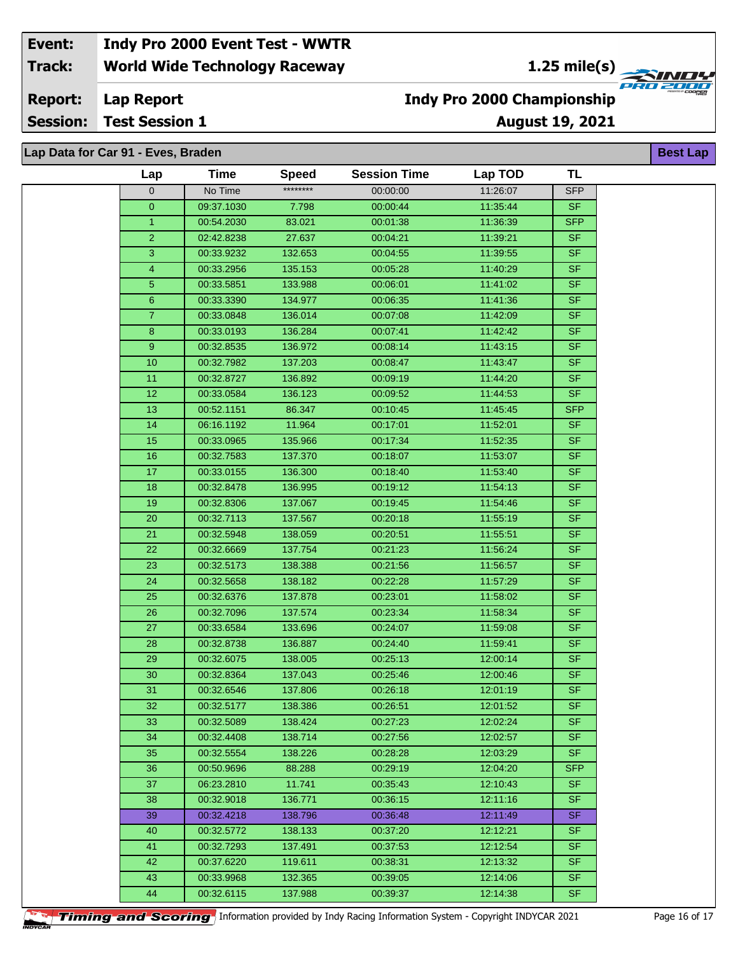**1.25 mile(s)**<br>
FRU 2000

**Lap Report Report:**

**Session: Test Session 1**

### **August 19, 2021 Indy Pro 2000 Championship**

**Best Lap**

| Lap Data for Car 91 - Eves, Braden |  |  |
|------------------------------------|--|--|

| וואט וטו שט באז - בינדע וטו ג |            |              |                     |          |                          | א∟ וכּסע |
|-------------------------------|------------|--------------|---------------------|----------|--------------------------|----------|
| Lap                           | Time       | <b>Speed</b> | <b>Session Time</b> | Lap TOD  | <b>TL</b>                |          |
| $\mathbf 0$                   | No Time    | ********     | 00:00:00            | 11:26:07 | <b>SFP</b>               |          |
| $\mathbf{0}$                  | 09:37.1030 | 7.798        | 00:00:44            | 11:35:44 | SF.                      |          |
| 1                             | 00:54.2030 | 83.021       | 00:01:38            | 11:36:39 | <b>SFP</b>               |          |
| $\overline{2}$                | 02:42.8238 | 27.637       | 00:04:21            | 11:39:21 | <b>SF</b>                |          |
| 3                             | 00:33.9232 | 132.653      | 00:04:55            | 11:39:55 | $\overline{\mathsf{SF}}$ |          |
| $\overline{4}$                | 00:33.2956 | 135.153      | 00:05:28            | 11:40:29 | <b>SF</b>                |          |
| 5                             | 00:33.5851 | 133.988      | 00:06:01            | 11:41:02 | <b>SF</b>                |          |
| 6                             | 00:33.3390 | 134.977      | 00:06:35            | 11:41:36 | <b>SF</b>                |          |
| $\overline{7}$                | 00:33.0848 | 136.014      | 00:07:08            | 11:42:09 | <b>SF</b>                |          |
| 8                             | 00:33.0193 | 136.284      | 00:07:41            | 11:42:42 | <b>SF</b>                |          |
| 9                             | 00:32.8535 | 136.972      | 00:08:14            | 11:43:15 | <b>SF</b>                |          |
| 10                            | 00:32.7982 | 137.203      | 00:08:47            | 11:43:47 | <b>SF</b>                |          |
| 11                            | 00:32.8727 | 136.892      | 00:09:19            | 11:44:20 | <b>SF</b>                |          |
| 12                            | 00:33.0584 | 136.123      | 00:09:52            | 11:44:53 | <b>SF</b>                |          |
| 13                            | 00:52.1151 | 86.347       | 00:10:45            | 11:45:45 | <b>SFP</b>               |          |
| 14                            | 06:16.1192 | 11.964       | 00:17:01            | 11:52:01 | <b>SF</b>                |          |
| 15                            | 00:33.0965 | 135.966      | 00:17:34            | 11:52:35 | <b>SF</b>                |          |
| 16                            | 00:32.7583 | 137.370      | 00:18:07            | 11:53:07 | <b>SF</b>                |          |
| 17                            | 00:33.0155 | 136.300      | 00:18:40            | 11:53:40 | <b>SF</b>                |          |
| 18                            | 00:32.8478 | 136.995      | 00:19:12            | 11:54:13 | <b>SF</b>                |          |
| 19                            | 00:32.8306 | 137.067      | 00:19:45            | 11:54:46 | <b>SF</b>                |          |
| 20                            | 00:32.7113 | 137.567      | 00:20:18            | 11:55:19 | <b>SF</b>                |          |
| 21                            | 00:32.5948 | 138.059      | 00:20:51            | 11:55:51 | <b>SF</b>                |          |
| 22                            | 00:32.6669 | 137.754      | 00:21:23            | 11:56:24 | SF                       |          |
| 23                            | 00:32.5173 | 138.388      | 00:21:56            | 11:56:57 | <b>SF</b>                |          |
| 24                            | 00:32.5658 | 138.182      | 00:22:28            | 11:57:29 | <b>SF</b>                |          |
| 25                            | 00:32.6376 | 137.878      | 00:23:01            | 11:58:02 | SF.                      |          |
| $\overline{26}$               | 00:32.7096 | 137.574      | 00:23:34            | 11:58:34 | <b>SF</b>                |          |
| 27                            | 00:33.6584 | 133.696      | 00:24:07            | 11:59:08 | <b>SF</b>                |          |
| 28                            | 00:32.8738 | 136.887      | 00:24:40            | 11:59:41 | <b>SF</b>                |          |
| 29                            | 00:32.6075 | 138.005      | 00:25:13            | 12:00:14 | <b>SF</b>                |          |
| 30                            | 00:32.8364 | 137.043      | 00:25:46            | 12:00:46 | <b>SF</b>                |          |
| 31                            | 00:32.6546 | 137.806      | 00:26:18            | 12:01:19 | <b>SF</b>                |          |
| 32                            | 00:32.5177 | 138.386      | 00:26:51            | 12:01:52 | <b>SF</b>                |          |
| 33                            | 00:32.5089 | 138.424      | 00:27:23            | 12:02:24 | SF.                      |          |
| 34                            | 00:32.4408 | 138.714      | 00:27:56            | 12:02:57 | <b>SF</b>                |          |
| 35                            | 00:32.5554 | 138.226      | 00:28:28            | 12:03:29 | <b>SF</b>                |          |
| 36                            | 00:50.9696 | 88.288       | 00:29:19            | 12:04:20 | <b>SFP</b>               |          |
| 37                            | 06:23.2810 | 11.741       | 00:35:43            | 12:10:43 | SF.                      |          |
| 38                            | 00:32.9018 | 136.771      | 00:36:15            | 12:11:16 | <b>SF</b>                |          |
| 39                            | 00:32.4218 | 138.796      | 00:36:48            | 12:11:49 | <b>SF</b>                |          |
| 40                            | 00:32.5772 | 138.133      | 00:37:20            | 12:12:21 | <b>SF</b>                |          |
| 41                            | 00:32.7293 | 137.491      | 00:37:53            | 12:12:54 | <b>SF</b>                |          |
| 42                            | 00:37.6220 | 119.611      | 00:38:31            | 12:13:32 | <b>SF</b>                |          |
| 43                            | 00:33.9968 | 132.365      | 00:39:05            | 12:14:06 | SF.                      |          |
| 44                            | 00:32.6115 | 137.988      | 00:39:37            | 12:14:38 | SF.                      |          |

**Timing and Scoring** Information provided by Indy Racing Information System - Copyright INDYCAR 2021 Page 16 of 17